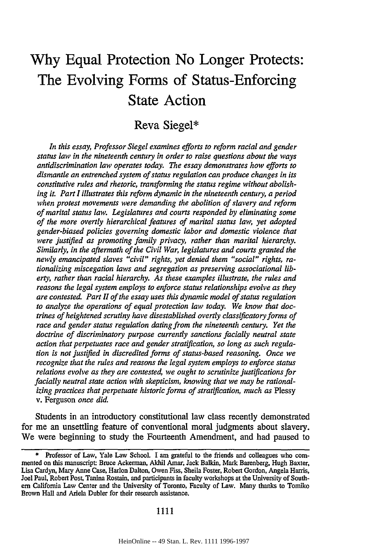# **Why Equal Protection No Longer Protects: The Evolving Forms of Status-Enforcing State Action**

# Reva Siegel\*

*In this essay, Professor Siegel examines efforts to reform racial and gender status law in the nineteenth century in order to raise questions about the ways antidiscrimination law operates today. The essay demonstrates how efforts to dismantle an entrenched system of status regulation can produce changes in its constitutive rules and rhetoric, transforming the status regime without abolishing it. Part I illustrates this reform dynamic in the nineteenth century, a period when protest movements were demanding the abolition of slavery and reform of marital status law. Legislatures and courts responded by eliminating some of the more overtly hierarchical features of marital status law, yet adopted gender-biased policies governing domestic labor and domestic violence that were justified as promoting family privacy, rather than marital hierarchy. Similarly, in the aftermath of the Civil War, legislatures and courts granted the newly emancipated slaves "civil" rights, yet denied them "social" rights, rationalizing miscegation laws and segregation as preserving associational liberty, rather than racial hierarchy. As these examples illustrate, the rules and reasons the legal system employs to enforce status relationships evolve as they are contested. Part II of the essay uses this dynamic model of status regulation to analyze the operations of equal protection law today. We know that doctrines of heightened scrutiny have disestablished overtly classificatory forms of race and gender status regulation dating from the nineteenth century. Yet the doctrine of discriminatory purpose currently sanctions facially neutral state action that perpetuates race and gender stratification, so long as such regulation is not justified in discredited forms of status-based reasoning. Once we recognize that the rules and reasons the legal system employs to enforce status relations evolve as they are contested, we ought to scrutinize justifications for facially neutral state action with skepticism, knowing that we may be rationalizing practices that perpetuate historic forms of stratification, much as* Plessy v. Ferguson *once did.*

Students in an introductory constitutional law class recently demonstrated for me an unsettling feature of conventional moral judgments about slavery. We were beginning to study the Fourteenth Amendment, and had paused to

#### 1111

**<sup>\*</sup>** Professor of Law, Yale Law School. I am grateful to the friends and colleagues who commented on this manuscript: Bruce Ackerman, Akhil Amar, Jack Balkin, Mark Barenberg, Hugh Baxter, Lisa Cardyn, Mary Anne Case, Harlon Dalton, Owen Fiss, Sheila Foster, Robert Gordon, Angela Harris, Joel Paul, Robert Post, Tanina Rostain, and participants in faculty workshops at the University of South- ern California Law Center and the University of Toronto, Faculty of Law. Many thanks to Tomiko Brown Hall and Ariela Dubler for their research assistance.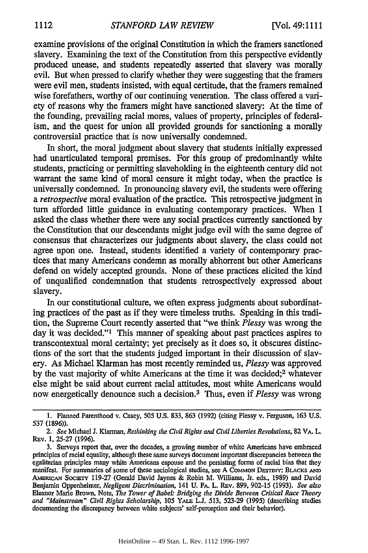examine provisions of the original Constitution in which the framers sanctioned slavery. Examining the text of the Constitution from this perspective evidently produced unease, and students repeatedly asserted that slavery was morally evil. But when pressed to clarify whether they were suggesting that the framers were evil men, students insisted, with equal certitude, that the framers remained wise forefathers, worthy of our continuing veneration. The class offered a variety of reasons why the framers might have sanctioned slavery: At the time of the founding, prevailing racial mores, values of property, principles of federalism, and the quest for union all provided grounds for sanctioning a morally controversial practice that is now universally condemned.

In short, the moral judgment about slavery that students initially expressed had unarticulated temporal premises. For this group of predominantly white students, practicing or permitting slaveholding in the eighteenth century did not warrant the same kind of moral censure it might today, when the practice is universally condemned. In pronouncing slavery evil, the students were offering *a retrospective* moral evaluation of the practice. This retrospective judgment in turn afforded little guidance in evaluating contemporary practices. When I asked the class whether there were any social practices currently sanctioned by the Constitution that our descendants might judge evil with the same degree of consensus that characterizes our judgments about slavery, the class could not agree upon one. Instead, students identified a variety of contemporary practices that many Americans condemn as morally abhorrent but other Americans defend on widely accepted grounds. None of these practices elicited the kind of unqualified condemnation that students retrospectively expressed about slavery.

In our constitutional culture, we often express judgments about subordinating practices of the past as if they were timeless truths. Speaking in this tradition, the Supreme Court recently asserted that "we think *Plessy* was wrong the day it was decided."<sup>1</sup> This manner of speaking about past practices aspires to transcontextual moral certainty; yet precisely as it does so, it obscures distinctions of the sort that the students judged important in their discussion of slavery. As Michael Klarman has most recently reminded us, *Plessy* was approved by the vast majority of white Americans at the time it was decided;2 whatever else might be said about current racial attitudes, most white Americans would now energetically denounce such a decision.<sup>3</sup> Thus, even if *Plessy* was wrong

<sup>1.</sup> Planned Parenthood v. Casey, 505 U.S. 833, 863 (1992) (citing Plessy v. Ferguson, 163 U.S. 537 (1896)).

*<sup>2.</sup> See* Michael **J.** Klarman, *Rethinking the Civil Rights and Civil Liberties Revolutions,* 82 VA. L. REv. 1, 25-27 (1996).

<sup>3.</sup> Surveys report that, over the decades, a growing number of white Americans have embraced principles of racial equality, although these same surveys document important discrepancies between the egalitarian principles many white Americans espouse and the persisting forms of racial bias that they manifest. For summaries of some of these sociological studies, see A **COMMON** DESTnNY: **BLACKS AND** AMERICAN SOCIETY 119-27 (Gerald David Jaynes & Robin M. Williams, Jr. eds., 1989) and David Benjamin Oppenheimer, *Negligent Discrimination,* 141 U. **PA.** L. REv. 899, 902-15 (1993). *See also* Eleanor Marie Brown, Note, *The Tower of Babel: Bridging the Divide Between Critical Race Theory and "Mainstream" Civil Rights Scholarship,* 105 YALE **L.J.** 513, 523-29 (1995) (describing studies documenting the discrepancy between white subjects' self-perception and their behavior).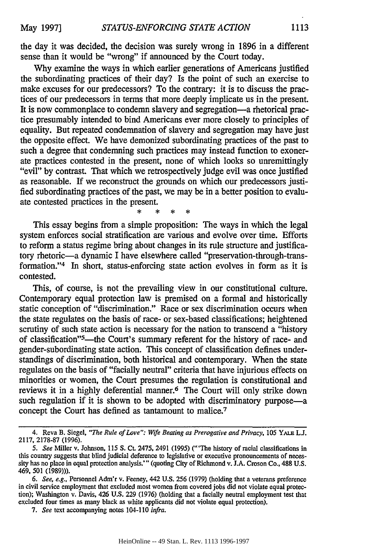the day it was decided, the decision was surely wrong in 1896 in a different sense than it would be "wrong" if announced by the Court today.

Why examine the ways in which earlier generations of Americans justified the subordinating practices of their day? Is the point of such an exercise to make excuses for our predecessors? To the contrary: it is to discuss the practices of our predecessors in terms that more deeply implicate us in the present. It is now commonplace to condemn slavery and segregation-a rhetorical practice presumably intended to bind Americans ever more closely to principles of equality. But repeated condemnation of slavery and segregation may have just the opposite effect. We have demonized subordinating practices of the past to such a degree that condemning such practices may instead function to exonerate practices contested in the present, none of which looks so unremittingly "evil" by contrast. That which we retrospectively judge evil was once justified as reasonable. If we reconstruct the grounds on which our predecessors justified subordinating practices of the past, we may be in a better position to evaluate contested practices in the present.

This essay begins from a simple proposition: The ways in which the legal system enforces social stratification are various and evolve over time. Efforts to reform a status regime bring about changes in its rule structure and justificatory rhetoric-a dynamic I have elsewhere called "preservation-through-transformation."'4 In short, status-enforcing state action evolves in form as it is contested.

This, of course, is not the prevailing view in our constitutional culture. Contemporary equal protection law is premised on a formal and historically static conception of "discrimination." Race or sex discrimination occurs when the state regulates on the basis of race- or sex-based classifications; heightened scrutiny of such state action is necessary for the nation to transcend a "history of classification"<sup>5</sup>—the Court's summary referent for the history of race- and gender-subordinating state action. This concept of classification defines understandings of discrimination, both historical and contemporary. When the state regulates on the basis of "facially neutral" criteria that have injurious effects on minorities or women, the Court presumes the regulation is constitutional and reviews it in a highly deferential manner.6 The Court will only strike down such regulation if it is shown to be adopted with discriminatory purpose—a concept the Court has defined as tantamount to malice.<sup>7</sup>

*7. See* text accompanying notes 104-110 *infra.*

<sup>4.</sup> Reva B. Siegel, *"The Rule of Love": Wife Beating as Prerogative and Privacy,* 105 YALE **L.J.** 2117, 2178-87 (1996).

*<sup>5.</sup> See* Miller v. Johnson, 115 S. **Ct.** 2475, 2491 (1995) ("'The history of racial classifications in this country suggests that blind judicial deference to legislative or executive pronouncements of necessity has no place in equal protection analysis."' (quoting City of Richmond v. **J.A.** Croson Co., **488 U.S.** 469, **501** (1989))).

*<sup>6.</sup> See, e.g..* Personnel Adm'r v. Feeney, 442 U.S. 256 (1979) (holding that a veterans preference in civil service employment that excluded most women from covered jobs did not violate equal protection); Washington v. Davis, 426 U.S. 229 (1976) (holding that a facially neutral employment test that excluded four times as many black as white applicants did not violate equal protection).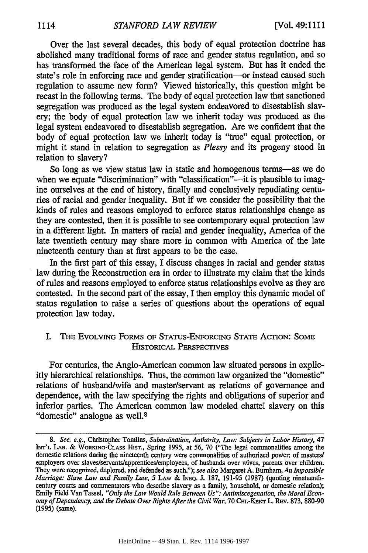Over the last several decades, this body of equal protection doctrine has abolished many traditional forms of race and gender status regulation, and so has transformed the face of the American legal system. But has it ended the state's role in enforcing race and gender stratification-or instead caused such regulation to assume new form? Viewed historically, this question might be recast in the following terms. The body of equal protection law that sanctioned segregation was produced as the legal system endeavored to disestablish slavery; the body of equal protection law we inherit today was produced as the legal system endeavored to disestablish segregation. Are we confident that the body of equal protection law we inherit today is "true" equal protection, or might it stand in relation to segregation as *Plessy* and its progeny stood in relation to slavery?

So long as we view status law in static and homogenous terms-as we do when we equate "discrimination" with "classification"---it is plausible to imagine ourselves at the end of history, finally and conclusively repudiating centuries of racial and gender inequality. But if we consider the possibility that the kinds of rules and reasons employed to enforce status relationships change as they are contested, then it is possible to see contemporary equal protection law in a different light. In matters of racial and gender inequality, America of the late twentieth century may share more in common with America of the late nineteenth century than at first appears to be the case.

In the first part of this essay, I discuss changes in racial and gender status law during the Reconstruction era in order to illustrate my claim that the kinds of rules and reasons employed to enforce status relationships evolve as they are contested. In the second part of the essay, I then employ this dynamic model of status regulation to raise a series of questions about the operations of equal protection law today.

### I. THE EVOLVING FORMS OF STATUS-ENFORCING STATE ACTION: **SOME** HISTORICAL PERSPECTIVES

For centuries, the Anglo-American common law situated persons in explicitly hierarchical relationships. Thus, the common law organized the "domestic" relations of husband/wife and master/servant as relations of governance and dependence, with the law specifying the rights and obligations of superior and inferior parties. The American common law modeled chattel slavery on this "domestic" analogue as well.<sup>8</sup>

*<sup>8.</sup> See, e.g.,* Christopher Tomlins, *Subordination, Authority, Law: Subjects in Labor History, 47* **INT'L** LAB. & WORMNG-CLASS HIsT., Spring **1995,** at **56, 70** ("The legal commonalities among the domestic relations during the nineteenth century were commonalities of authorized power; of masters/ employers over slaves/servants/apprentices/employees, of husbands over wives, parents over children. They were recognized, deplored, and defended as such."); *see also* Margaret A. Burnham, *An Impossible Marriage: Slave Law and Family Law,* 5 LAW & **INEQ. J.** 187, 191-95 (1987) (quoting nineteenthcentury courts and commentators who describe slavery as a family, household, or domestic relation); Emily Field Van Tassel, *"Only the Law Would Rule Between Us": Antimiscegenation, the Moral Economy of Dependency, and the Debate Over Rights After the Civil War,* 70 Cm.-KErN L. REv. 873, 880-90 (1995) (same).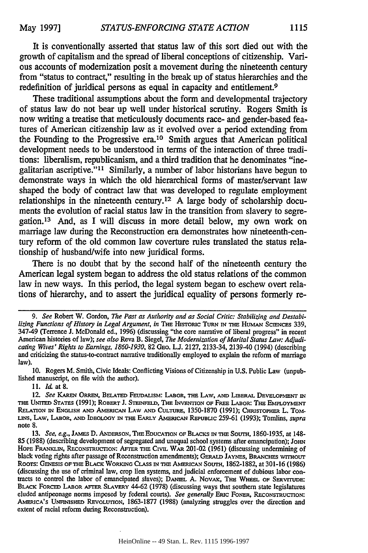It is conventionally asserted that status law of this sort died out with the growth of capitalism and the spread of liberal conceptions of citizenship. Various accounts of modernization posit a movement during the nineteenth century from "status to contract," resulting in the break up of status hierarchies and the redefinition of juridical persons as equal in capacity and entitlement.<sup>9</sup>

These traditional assumptions about the form and developmental trajectory of status law do not bear up well under historical scrutiny. Rogers Smith is now writing a treatise that meticulously documents race- and gender-based features of American citizenship law as it evolved over a period extending from the Founding to the Progressive era.10 Smith argues that American political development needs to be understood in terms of the interaction of three traditions: liberalism, republicanism, and a third tradition that he denominates "inegalitarian ascriptive."<sup>11</sup> Similarly, a number of labor historians have begun to demonstrate ways in which the old hierarchical forms of master/servant law shaped the body of contract law that was developed to regulate employment relationships in the nineteenth century. 12 A large body of scholarship documents the evolution of racial status law in the transition from slavery to segregation.13 And, as I will discuss in more detail below, my own work on marriage law during the Reconstruction era demonstrates how nineteenth-century reform of the old common law coverture rules translated the status relationship of husband/wife into new juridical forms.

There is no doubt that by the second half of the nineteenth century the American legal system began to address the old status relations of the common law in new ways. In this period, the legal system began to eschew overt relations of hierarchy, and to assert the juridical equality of persons formerly re-

10. Rogers M. Smith, Civic Ideals: Conflicting Visions of Citizenship in U.S. Public Law (unpublished manuscript, on file with the author).

11. *Id.* at 8.

*<sup>9.</sup> See* Robert W. Gordon, *The Past as Authority and as Social Critic: Stabilizing and Destabilizing Functions of History in Legal Argument, in THE HISTORIC TURN IN THE HUMAN SCIENCES 339,* 347-49 (Terrence **J.** McDonald ed., **1996)** (discussing "the core narrative of liberal progress" in recent American histories of law); *see also* Reva B. Siegel, *The Modernization of Marital Status Law: Adjudicating Wives' Rights to Earnings, 1860-1930,* 82 GEo. **L.** 2127, 2133-34, 2139-40 (1994) (describing and criticizing the status-to-contract narrative traditionally employed to explain the reform of marriage law).

<sup>12.</sup> See KAREN ORREN, BELATED FEUDALISM: LABOR, THE LAW, AND LIBERAL DEVELOPMENT IN THE UNITED STATES (1991); ROBERT J. STEINFELD, THE INVENTION OF FREE LABOR: THE EMPLOYMENT RELATION IN **ENGLISH AND AMERICAN** LAW **AND CULTURE,** 1350-1870 (1991); **CHRISTOPHER** L. ToM-LINS, LAW, LABOR, AND **IDEOLOGY** IN THE EARLY AMERICAN REPUBLIC 259-61 (1993); Tomlins, *supra* note 8.

<sup>13.</sup> See, e.g., JAMES D. ANDERSON, THE EDUCATION OF BLACKS IN THE SOUTH, 1860-1935, at 148-85 (1988) (describing development of segregated and unequal school systems after emancipation); JOHN HOPE FRANKLIN, RECONSTRUCTION: AFTER THE CIVIL WAR 201-02 (1961) (discussing undermining of black voting rights after passage of Reconstruction amendments); GERALD *JAYNES,* BRANCHES wrrmout ROOTS: GENESIS OF THE BLACK WORKING CLASS IN THE AMERICAN SOUTH, 1862-1882, at 301-16 (1986) (discussing the use of criminal law, crop lien systems, and judicial enforcement of dubious labor contracts to control the labor of emancipated slaves); DANIEL A. NoVAK, **THE** WHEE. OF SERvrrUDE: BLACK FORCED LABOR AFTER SLAVERY 44-62 (1978) (discussing ways that southern state legislatures eluded antipeonage norms imposed by federal courts). *See generally* ERIC FoNER, RECONSTRUCTION: **AmERICA'S UNFINusHm REVOLUTION,** 1863-1877 (1988) (analyzing struggles over the direction and extent of racial reform during Reconstruction).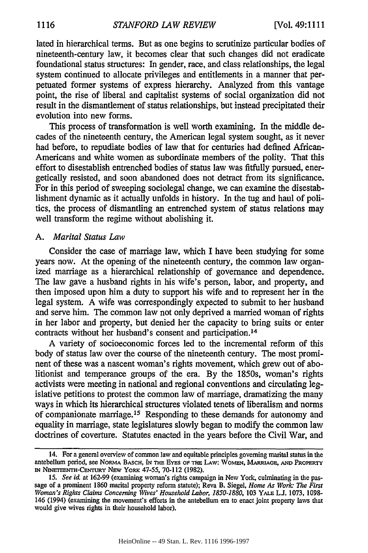lated in hierarchical terms. But as one begins to scrutinize particular bodies of nineteenth-century law, it becomes clear that such changes did not eradicate foundational status structures: In gender, race, and class relationships, the legal system continued to allocate privileges and entitlements in a manner that perpetuated former systems of express hierarchy. Analyzed from this vantage point, the rise of liberal and capitalist systems of social organization did not result in the dismantlement of status relationships, but instead precipitated their evolution into new forms.

This process of transformation is well worth examining. In the middle decades of the nineteenth century, the American legal system sought, as it never had before, to repudiate bodies of law that for centuries had defined African-Americans and white women as subordinate members of the polity. That this effort to disestablish entrenched bodies of status law was fitfully pursued, energetically resisted, and soon abandoned does not detract from its significance. For in this period of sweeping sociolegal change, we can examine the disestablishment dynamic as it actually unfolds in history. In the tug and haul of politics, the process of dismantling an entrenched system of status relations may well transform the regime without abolishing it.

#### *A. Marital Status Law*

Consider the case of marriage law, which I have been studying for some years now. At the opening of the nineteenth century, the common law organized marriage as a hierarchical relationship of governance and dependence. The law gave a husband rights in his wife's person, labor, and property, and then imposed upon him a duty to support his wife and to represent her in the legal system. A wife was correspondingly expected to submit to her husband and serve him. The common law not only deprived a married woman of rights in her labor and property, but denied her the capacity to bring suits or enter contracts without her husband's consent and participation. <sup>14</sup>

A variety of socioeconomic forces led to the incremental reform of this body of status law over the course of the nineteenth century. The most prominent of these was a nascent woman's rights movement, which grew out of abolitionist and temperance groups of the era. By the 1850s, woman's rights activists were meeting in national and regional conventions and circulating legislative petitions to protest the common law of marriage, dramatizing the many ways in which its hierarchical structures violated tenets of liberalism and norms of companionate marriage. 15 Responding to these demands for autonomy and equality in marriage, state legislatures slowly began to modify the common law doctrines of coverture. Statutes enacted in the years before the Civil War, and

<sup>14.</sup> For a general overview of common law and equitable principles governing marital status in the antebellum period, see NoRMA BASCH, **IN** Tim EYEs oF THE LAW: WomEN, MARiAoa, **AND** PROPERTY iN **NiNET=NTH-CENmRY** NEw YoRK 47-55, 70-112 (1982).

<sup>15.</sup> *See id* at 162-99 (examining woman's rights campaign in New York, culminating in the passage of a prominent 1860 marital property reform statute); Reva B. Siegel, *Home As Work The First Woman's Rights Claims Concerning Wives' Household Labor, 1850-1880,* 103 YALE *L.L* 1073, **1098-** 146 (1994) (examining the movement's efforts in the antebellum era to enact joint property laws that would give wives rights in their household labor).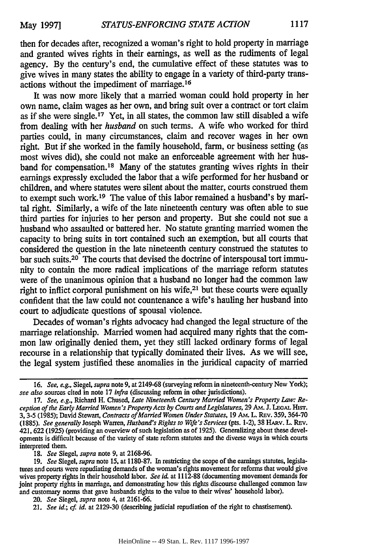then for decades after, recognized a woman's right to hold property in marriage and granted wives rights in their earnings, as well as the rudiments of legal agency. By the century's end, the cumulative effect of these statutes was to give wives in many states the ability to engage in a variety of third-party transactions without the impediment of marriage. <sup>16</sup>

It was now more likely that a married woman could hold property in her own name, claim wages as her own, and bring suit over a contract or tort claim as if she were single. 17 Yet, in all states, the common law still disabled a wife from dealing with her *husband* on such terms. A wife who worked for third parties could, in many circumstances, claim and recover wages in her own right. But if she worked in the family household, farm, or business setting (as most wives did), she could not make an enforceable agreement with her husband for compensation.<sup>18</sup> Many of the statutes granting wives rights in their earnings expressly excluded the labor that a wife performed for her husband or children, and where statutes were silent about the matter, courts construed them to exempt such work.19 The value of this labor remained a husband's by marital right. Similarly, a wife of the late nineteenth century was often able to sue third parties for injuries to her person and property. But she could not sue a husband who assaulted or battered her. No statute granting married women the capacity to bring suits in tort contained such an exemption, but all courts that considered the question in the late nineteenth century construed the statutes to bar such suits.<sup>20</sup> The courts that devised the doctrine of interspousal tort immunity to contain the more radical implications of the marriage reform statutes were of the unanimous opinion that a husband no longer had the common law right to inflict corporal punishment on his wife,<sup>21</sup> but these courts were equally confident that the law could not countenance a wife's hauling her husband into court to adjudicate questions of spousal violence.

Decades of woman's rights advocacy had changed the legal structure of the marriage relationship. Married women had acquired many rights that the common law originally denied them, yet they still lacked ordinary forms of legal recourse in a relationship that typically dominated their lives. As we will see, the legal system justified these anomalies in the juridical capacity of married

18. *See* Siegel, *supra* note **9,** at 2168-96.

19. *See* Siegel, *supra* note **15,** at 1180-87. In restricting the scope of the earnings statutes, legislatures and courts were repudiating demands of the woman's rights movement for reforms that would give wives property rights in their household labor. *See id.* at 1112-88 (documenting movement demands for joint property rights in marriage, and demonstrating how this rights discourse challenged common law and customary norms that gave husbands rights to the value to their wives' household labor).

20. *See* Siegel, *supra* note 4, at 2161-66.

21. *See id.; cf id.* at 2129-30 (describing judicial repudiation of the right to chastisement).

**<sup>16.</sup>** *See, e.g.,* Siegel, *supra* note **9,** at 2149-68 (surveying reform in nineteenth-century New York); *see also* sources cited in note 17 *infra* (discussing reform in other jurisdictions).

<sup>17.</sup> *See, e.g.,* Richard H. Chused, *Late Nineteenth Century Married Women's Property Law: Reception of the Early Married Women's Property Acts by Courts and Legislatures,* 29 **Am.** J. **LAL** Hisr. 3, 3-5 (1985); David Stewart, *Contracts of Married Women Under Statutes*, 19 Am. L. REV. 359, 364-70 (1885). *See generally* Joseph Warren, *Husband's Rights to Wife's Services* (pts. 1-2), 38 HARv. L. REv. 421, 622 (1925) (providing an overview of such legislation as of 1925). Generalizing about these developments is difficult because of the variety of state reform statutes and the diverse ways in which courts interpreted them.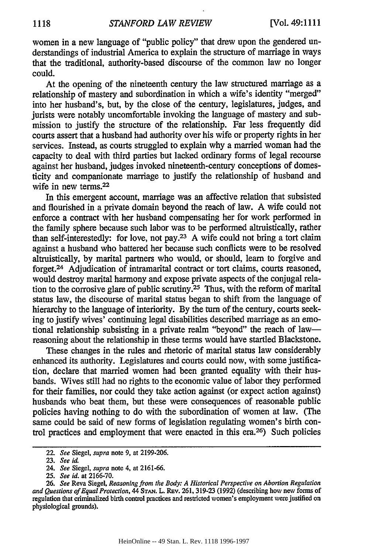women in a new language of "public policy" that drew upon the gendered understandings of industrial America to explain the structure of marriage in ways that the traditional, authority-based discourse of the common law no longer could.

At the opening of the nineteenth century the law structured marriage as a relationship of mastery and subordination in which a wife's identity "merged" into her husband's, but, by the close of the century, legislatures, judges, and jurists were notably uncomfortable invoking the language of mastery and submission to justify the structure of the relationship. Far less frequently did courts assert that a husband had authority over his wife or property rights in her services. Instead, as courts struggled to explain why a married woman had the capacity to deal with third parties but lacked ordinary forms of legal recourse against her husband, judges invoked nineteenth-century conceptions of domesticity and companionate marriage to justify the relationship of husband and wife in new terms.<sup>22</sup>

In this emergent account, marriage was an affective relation that subsisted and flourished in a private domain beyond the reach of law. A wife could not enforce a contract with her husband compensating her for work performed in the family sphere because such labor was to be performed altruistically, rather than self-interestedly: for love, not pay.<sup>23</sup> A wife could not bring a tort claim against a husband who battered her because such conflicts were to be resolved altruistically, by marital partners who would, or should, learn to forgive and forget.24 Adjudication of intramarital contract or tort claims, courts reasoned, would destroy marital harmony and expose private aspects of the conjugal relation to the corrosive glare of public scrutiny.<sup>25</sup> Thus, with the reform of marital status law, the discourse of marital status began to shift from the language of hierarchy to the language of interiority. By the turn of the century, courts seeking to justify wives' continuing legal disabilities described marriage as an emotional relationship subsisting in a private realm "beyond" the reach of lawreasoning about the relationship in these terms would have startled Blackstone.

These changes in the rules and rhetoric of marital status law considerably enhanced its authority. Legislatures and courts could now, with some justification, declare that married women had been granted equality with their husbands. Wives still had no rights to the economic value of labor they performed for their families, nor could they take action against (or expect action against) husbands who beat them, but these were consequences of reasonable public policies having nothing to do with the subordination of women at law. (The same could be said of new forms of legislation regulating women's birth control practices and employment that were enacted in this era.26) Such policies

<sup>22.</sup> *See* Siegel, *supra* note 9, at 2199-206.

<sup>23.</sup> *See id*

<sup>24.</sup> *See* Siegel, *supra* note 4, at 2161-66.

*<sup>25.</sup> See id.* at 2166-70.

*<sup>26.</sup> See* Reva Siegel, *Reasoning from the Body: A Historical Perspective on Abortion Regulation and Questions of Equal Protection,* 44 STAN. L. REv. 261, 319-23 (1992) (describing how new forms of regulation that criminalized birth control practices and restricted women's employment were justified on physiological grounds).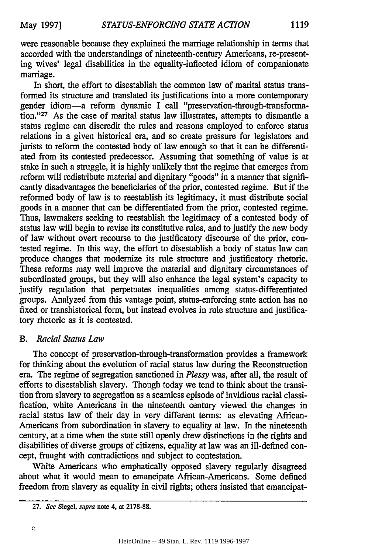were reasonable because they explained the marriage relationship in terms that accorded with the understandings of nineteenth-century Americans, re-presenting wives' legal disabilities in the equality-inflected idiom of companionate marriage.

In short, the effort to disestablish the common law of marital status transformed its structure and translated its justifications into a more contemporary gender idiom-a reform dynamic I call "preservation-through-transformation."<sup>27</sup> As the case of marital status law illustrates, attempts to dismantle a status regime can discredit the rules and reasons employed to enforce status relations in a given historical era, and so create pressure for legislators and jurists to reform the contested body of law enough so that it can be differentiated from its contested predecessor. Assuming that something of value is at stake in such a struggle, it is highly unlikely that the regime that emerges from reform will redistribute material and dignitary "goods" in a manner that significantly disadvantages the beneficiaries of the prior, contested regime. But if the reformed body of law is to reestablish its legitimacy, it must distribute social goods in a manner that can be differentiated from the prior, contested regime. Thus, lawmakers seeking to reestablish the legitimacy of a contested body of status law will begin to revise its constitutive rules, and to justify the new body of law without overt recourse to the justificatory discourse of the prior, contested regime. In this way, the effort to disestablish a body of status law can produce changes that modernize its rule structure and justificatory rhetoric. These reforms may well improve the material and dignitary circumstances of subordinated groups, but they will also enhance the legal system's capacity to justify regulation that perpetuates inequalities among status-differentiated groups. Analyzed from this vantage point, status-enforcing state action has no fixed or transhistorical form, but instead evolves in rule structure and justificatory rhetoric as it is contested.

#### *B. Racial Status Law*

The concept of preservation-through-transformation provides a framework for thinking about the evolution of racial status law during the Reconstruction era. The regime of segregation sanctioned in *Plessy* was, after all, the result of efforts to disestablish slavery. Though today we tend to think about the transition from slavery to segregation as a seamless episode of invidious racial classification, white Americans in the nineteenth century viewed the changes in racial status law of their day in very different terms: as elevating African-Americans from subordination in slavery to equality at law. In the nineteenth century, at a time when the state still openly drew distinctions in the rights and disabilities of diverse groups of citizens, equality at law was an ill-defined concept, fraught with contradictions and subject to contestation.

White Americans who emphatically opposed slavery regularly disagreed about what it would mean to emancipate African-Americans. Some defined freedom from slavery as equality in civil rights; others insisted that emancipat-

<sup>27.</sup> *See* Siegel, *supra* note 4, at 2178-88.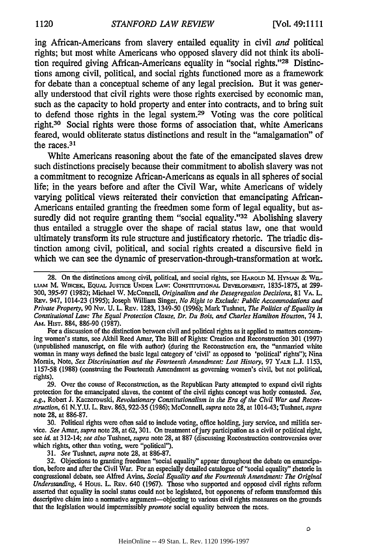ing African-Americans from slavery entailed equality in civil *and* political rights; but most white Americans who opposed slavery did not think its abolition required giving African-Americans equality in "social rights."<sup>28</sup> Distinctions among civil, political, and social rights functioned more as a framework for debate than a conceptual scheme of any legal precision. But it was generally understood that civil rights were those rights exercised **by** economic man, such as the capacity to hold property and enter into contracts, and to bring suit to defend those rights in the legal system.<sup>29</sup> Voting was the core political right.30 Social rights were those forms of association that, white Americans feared, would obliterate status distinctions and result in the "amalgamation" of the races. $31$ 

White Americans reasoning about the fate of the emancipated slaves drew such distinctions precisely because their commitment to abolish slavery was not a commitment to recognize African-Americans as equals in all spheres of social life; in the years before and after the Civil War, white Americans of widely varying political views reiterated their conviction that emancipating African-Americans entailed granting the freedmen some form of legal equality, but assuredly did not require granting them "social equality."<sup>32</sup> Abolishing slavery thus entailed a struggle over the shape of racial status law, one that would ultimately transform its rule structure and justificatory rhetoric. The triadic distinction among civil, political, and social rights created a discursive field in which we can see the dynamic of preservation-through-transformation at work.

For a discussion of the distinction between civil and political rights as it applied to matters concerning women's status, see Akhil Reed Amar, The Bill of Rights: Creation and Reconstruction 301 (1997) (unpublished manuscript, on file with author) (during the Reconstruction era, the "unmarried white woman in many ways defined the basic legal category of 'civil' as opposed to 'political' rights"); Nina Morais, Note, *Sex Discrimination and the Fourteenth Amendment: Lost History,* 97 YALE **LJ.** 1153, 1157-58 (1988) (construing the Fourteenth Amendment as governing women's civil, but not political, rights).

**29.** Over the course of Reconstruction, as the Republican Party attempted to expand civil rights protection for the emancipated slaves, the content of the civil rights concept was hotly contested. *See, e.g.,* Robert J. Kazorowski, *Revolutionary Constitutionalism in the Era of the Civil War and Reconstruction,* 61 N.Y.U. L. REv. 863,922-35 (1986); McConnell, *supra* note 28, at 1014-43; Tushnet, *supra* note 28, at 886-87.

30. Political rights were often said to include voting, office holding, jury service, and militia service. *See Amar, supra* note 28, at 62, 301. On treatment of jury participation as a civil or political right, see id. at 312-14; *see also* Tushnet, *supra* note 28, at 887 (discussing Reconstruction controversies over which rights, other than voting, were "political").

31. *See* Tushnet, *supra* note 28, at 886-87.

32. Objections to granting freedmen "social equality" appear throughout the debate on emancipation, before and after the Civil War. For an especially detailed catalogue of "social equality" rhetoric in congressional debate, see Alfred Avins, *Social Equality and the Fourteenth Amendment: The Original Understanding,* 4 Hous. L. REv. 640 (1967). Those who supported and opposed civil rights reform asserted that equality in social status could not be legislated, but opponents of reform transformed this descriptive claim into a normative argument---objecting to various civil rights measures on the grounds that the legislation would impermissibly *promote* social equality between the races.

**<sup>28.</sup>** On the distinctions among civil, political, and social rights, see HARoLD M. HYMAN **& WEL-**LIAM M. WIECEK, EQUAL JUSTICE UNDER LAW: CONSTITUTIONAL DEVELOPMENT, 1835-1875, at 299-300, 395-97 (1982); Michael W. McConnell, *Originalism and the Desegregation Decisions,* 81 VA. L. **REv.** 947, 1014-23 (1995); Joseph William Singer, *No Right to Exclude: Public Accommodations and Private Property,* 90 Nw. U. L. REv. 1283, 1349-50 (1996); Mark Tushnet, *The Politics of Equality in Constitutional Law: The Equal Protection Clause, Dr. Du Bois, and Charles Hamilton Houston,* 74 J. AM. **HIST.** 884, 886-90 (1987).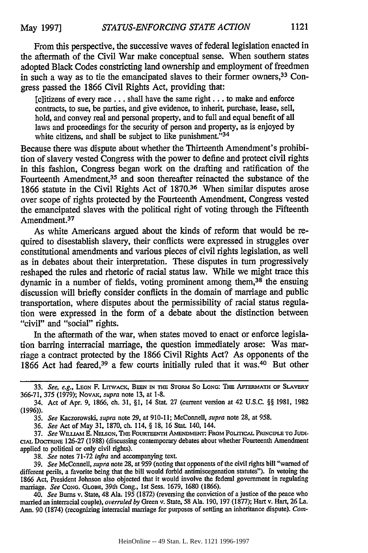From this perspective, the successive waves of federal legislation enacted in the aftermath of the Civil War make conceptual sense. When southern states adopted Black Codes constricting land ownership and employment of freedmen in such a way as to tie the emancipated slaves to their former owners,<sup>33</sup> Congress passed the 1866 Civil Rights Act, providing that:

 $[clitizers of every race \dots shall have the same right \dots to make and enforce$ contracts, to sue, be parties, and give evidence, to inherit, purchase, lease, sell, hold, and convey real and personal property, and to full and equal benefit of all laws and proceedings for the security of person and property, as is enjoyed by white citizens, and shall be subject to like punishment."34

Because there was dispute about whether the Thirteenth Amendment's prohibition of slavery vested Congress with the power to define and protect civil rights in this fashion, Congress began work on the drafting and ratification of the Fourteenth Amendment,<sup>35</sup> and soon thereafter reinacted the substance of the 1866 statute in the Civil Rights Act of 1870.36 When similar disputes arose over scope of rights protected by the Fourteenth Amendment, Congress vested the emancipated slaves with the political right of voting through the Fifteenth Amendment.<sup>37</sup>

As white Americans argued about the kinds of reform that would be required to disestablish slavery, their conflicts were expressed in struggles over constitutional amendments and various pieces of civil rights legislation, as well as in debates about their interpretation. These disputes in turn progressively reshaped the rules and rhetoric of racial status law. While we might trace this dynamic in a number of fields, voting prominent among them,<sup>38</sup> the ensuing discussion will briefly consider conflicts in the domain of marriage and public transportation, where disputes about the permissibility of racial status regulation were expressed in the form of a debate about the distinction between "civil" and "social" rights.

In the aftermath of the war, when states moved to enact or enforce legislation barring interracial marriage, the question immediately arose: Was marriage a contract protected by the 1866 Civil Rights Act? As opponents of the 1866 Act had feared,<sup>39</sup> a few courts initially ruled that it was.<sup>40</sup> But other

36. *See* Act of May 31, 1870, ch. 114, § *18,* 16 Stat. 140, 144.

**<sup>33.</sup>** *See, e.g.,* **LEON** F. LrrwAc, **BEEN** rN **Ta** SToRM So **LONG:** THE **AFERMATH OF SLAVERY** 366-71, 375 (1979); NovAK, *supra* note 13, at 1-8.

<sup>34.</sup> Act of Apr. 9, 1866, ch. 31, **§1,** 14 Stat. 27 (current version at 42 U.S.C. §§ 1981, 1982 (1996)).

<sup>35.</sup> *See* Kaczorowski, *supra* note **29,** at 910-11; McConnell, *supra* note **28,** at 958.

**<sup>37.</sup>** *See* W AmA **E. NELsoN,** Tim FouRaTEENm **AMEtmNTarr:** FROM PoLuICAL **PRINCIPLE TO JUDI**crAL Docrmir 126-27 (1988) (discussing contemporary debates about whether Fourteenth Amendment applied to political or only civil rights).

<sup>38.</sup> *See* notes 71-72 *infra* and accompanying text.

<sup>39.</sup> *See* McConnell, *supra* note 28, at 959 (noting that opponents of the civil rights bill "warned of different perils, a favorite being that the bill would forbid antimiscegenation statutes"). In vetoing the 1866 Act, President Johnson also objected that it would involve the federal government in regulating marriage. *See* CoNG. GLOBE, 39th Cong., 1st Sess. 1679, 1680 (1866).

<sup>40.</sup> *See* Bums v. State, 48 Ala. 195 (1872) (reversing the conviction of a justice of the peace who married an interracial couple), *overruled by* Green v. State, 58 Ala. 190, 197 (1877); Hart v. Hart, 26 La. Ann. 90 (1874) (recognizing interracial marriage for purposes of settling an inheritance dispute). *Corn-*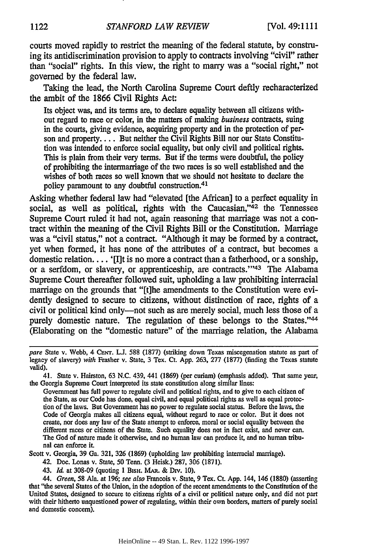courts moved rapidly to restrict the meaning of the federal statute, **by** construing its antidiscrimination provision to apply to contracts involving "civil" rather than "social" rights. In this view, the right to marry was a "social right," not governed **by** the federal law.

Taking the lead, the North Carolina Supreme Court deftly recharacterized the ambit of the **1866** Civil Rights Act:

Its object was, and its terms are, to declare equality between all citizens without regard to race or color, in the matters of making *business* contracts, suing in the courts, giving evidence, acquiring property and in the protection of person and property.... But neither the Civil Rights Bill nor our State Constitution was intended to enforce social equality, but only civil and political rights. This is plain from their very terms. But if the terms were doubtful, the policy of prohibiting the intermarriage of the two races is so well established and the wishes of both races so well known that we should not hesitate to declare the policy paramount to any doubtful construction.<sup>41</sup>

Asking whether federal law had "elevated [the African] to a perfect equality in social, as well as political, rights with the Caucasian," $42$  the Tennessee Supreme Court ruled it had not, again reasoning that marriage was not a contract within the meaning of the Civil Rights Bill or the Constitution. Marriage was a "civil status," not a contract. "Although it may be formed **by** a contract, yet when formed, it has none of the attributes of a contract, but becomes a domestic relation. . . . '[I]t is no more a contract than a fatherhood, or a sonship, or a serfdom, or slavery, or apprenticeship, are contracts."<sup>43</sup> The Alabama Supreme Court thereafter followed suit, upholding a law prohibiting interracial marriage on the grounds that "[t]he amendments to the Constitution were evidently designed to secure to citizens, without distinction of race, rights of a civil or political kind only-not such as are merely social, much less those of a purely domestic nature. The regulation of these belongs to the States."44 (Elaborating on the "domestic nature" of the marriage relation, the Alabama

Government has full **power** to regulate civil and political rights, and to give to each citizen of the State, as our Code has done, equal civil, and equal political rights as well as equal protection of the laws. But Government has no power to regulate social status. Before the laws, the Code of Georgia makes all citizens equal, without regard to race or color. But it does not create, nor does any law of the State attempt to enforce, moral or social equality between the different races or citizens of the State. Such equality does not in fact exist, and never can. The God of nature made it otherwise, and no human law can produce **it,** and no human tribunal can enforce it

Scott v. Georgia, **39** Ga. **321, 326 (1869)** (upholding law prohibiting interracial marriage).

- 42. Doc. Lonas v. State, **50** Tenn. **(3** Heisk.) **287, 306 (1871).**
- 43. *Id* at **308-09** (quoting **1** BIsH. **MAR. &** Div. **10).**

*44. Green,* **58** Ala. at **196;** *see also* Francois v. State, **9** Tex. Ct. **App.** 144, **146 (1880)** (asserting that **"the** several States of the Union, in the adoption of the recent amendments to the Constitution of the United States, designed to secure to citizens rights of a civil or political nature **only,** and did not part with their hitherto unquestioned power of regulating, within their own borders, matters of purely social and domestic concern).

*pare* State v. Webb, 4 CENT. L.J. 588 (1877) (striking down Texas miscegenation statute as part of legacy of slavery) *with* Frasher v. State, **3** Tex. Ct. **App. 263, 277 (1877)** (finding the Texas statute valid).

<sup>41.</sup> State v. Hairston, **63 N.C.** 439, 441 **(1869)** (per curiam) (emphasis added). **That** same year, the Georgia Supreme Court interpreted its state constitution along similar lines: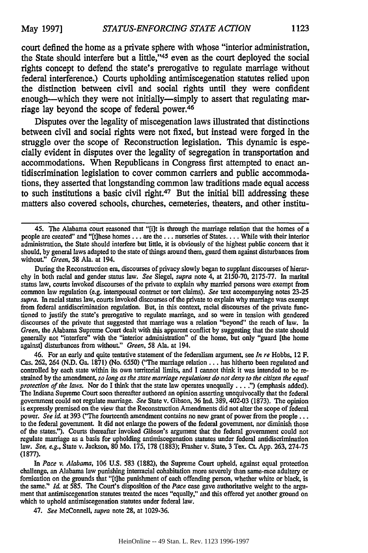court defined the home as a private sphere with whose "interior administration, the State should interfere but a little,"45 even as the court deployed the social rights concept to defend the state's prerogative to regulate marriage without federal interference.) Courts upholding antimiscegenation statutes relied upon the distinction between civil and social rights until they were confident enough--which they were not initially-simply to assert that regulating marriage lay beyond the scope of federal power.<sup>46</sup>

Disputes over the legality of miscegenation laws illustrated that distinctions between civil and social rights were not fixed, but instead were forged in the struggle over the scope of Reconstruction legislation. This dynamic is especially evident in disputes over the legality of segregation in transportation and accommodations. When Republicans in Congress first attempted to enact antidiscrimination legislation to cover common carriers and public accommodations, they asserted that longstanding common law traditions made equal access to such institutions a basic civil right.47 But the initial bill addressing these matters also covered schools, churches, cemeteries, theaters, and other institu-

During the Reconstruction era, discourses of privacy slowly began to supplant discourses of hierarchy in both racial and gender status law. *See* Siegel, *supra* note 4, at 2150-70, 2175-77. In marital status law, courts invoked discourses of the private to explain why married persons were exempt from common law regulation (e.g. interspousal contract or tort claims). *See* text accompanying notes 23-25 *supra.* In racial status law, courts invoked discourses of the private to explain why marriage was exempt from federal antidiscrimination regulation. But, in this context, racial discourses of the private functioned to justify the state's prerogative to regulate marriage, and so were in tension with gendered discourses of the private that suggested that marriage was a relation "beyond" the reach of law. In *Green,* the Alabama Supreme Court dealt with this apparent conflict **by** suggesting that the state should generally not "interfere" with the "interior administration" of the home, but only "guard [the home against] disturbances from without." *Green,* 58 Ala. at 194.

46. For an early and quite tentative statement of the federalism argument, see *In re* Hobbs, 12 F. Cas. 262, 264 (N.D. Ga. 1871) (No. 6550) ("The marriage relation **...** has hitherto been regulated and controlled by each state within its own territorial limits, and I cannot think it was intended to be re strained **by** the amendment, *so long as the state marriage regulations do not deny to the citizen the equal protection of the laws.* Nor do I think that the state law operates unequally **....** ) (emphasis added). The Indiana Supreme Court soon thereafter authored an opinion asserting unequivocally that the federal government could not regulate marriage. *See* State v. Gibson, 36 Ind. 389, 402-03 (1873). The opinion is expressly premised on the view that the Reconstruction Amendments did not alter the scope of federal power. *See id.* at 393 ("The fourteenth amendment contains no new grant of power from the people... to the federal government. It did not enlarge the powers of the federal government, nor diminish those of the states."). Courts thereafter invoked *Gibson's* argument that the federal government could not regulate marriage as a basis for upholding antimiscegenation statutes under federal antidiscrimination law. *See, e.g.,* State v. Jackson, 80 Mo. 175, 178 (1883); Frasher v. State, 3 Tex. Ct. App. 263, 274-75 (1877).

*In Pace v. Alabama,* 106 U.S. 583 (1882), the Supreme Court upheld, against equal protection challenge, an Alabama law punishing interracial cohabitation more severely than same-race adultery or fornication on the grounds that "[t]he punishment of each offending person, whether white or black, is the same." *I&* at 585. The Court's disposition of the *Pace* case gave authoritative weight to the argument that antimiscegenstion statutes treated the races "equally," and this offered yet another ground on which to uphold antimiscegenation statutes under federal law.

47. *See* McConnell, *supra* note 28, at 1029-36.

<sup>45.</sup> The Alabama court reasoned that "[ilt is through the marriage relation that the homes of a people are created" and "[tihese homes **...** are the... nurseries of States.... While with their interior administration, the State should interfere but little, it is obviously of the highest public concern that it should, by general laws adapted to the state of things around them, guard them against disturbances from without." *Green,* 58 Ala. at 194.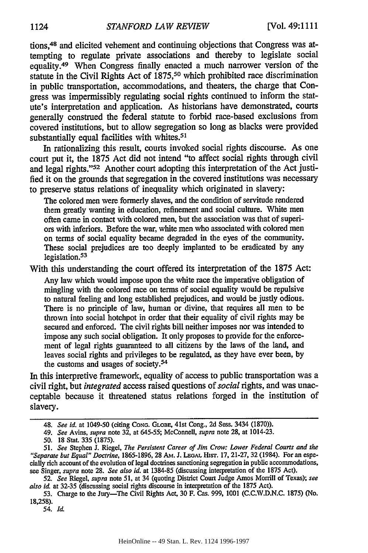tions, 48 and elicited vehement and continuing objections that Congress was attempting to regulate private associations and thereby to legislate social equality. 49 When Congress finally enacted a much narrower version of the statute in the Civil Rights Act of 1875,50 which prohibited race discrimination in public transportation, accommodations, and theaters, the charge that Congress was impermissibly regulating social rights continued to inform the statute's interpretation and application. As historians have demonstrated, courts generally construed the federal statute to forbid race-based exclusions from covered institutions, but to allow segregation so long as blacks were provided substantially equal facilities with whites.<sup>51</sup>

In rationalizing this result, courts invoked social rights discourse. As one court put it, the **1875** Act did not intend "to affect social rights through civil and legal rights."<sup>52</sup> Another court adopting this interpretation of the Act justified it on the grounds that segregation in the covered institutions was necessary to preserve status relations of inequality which originated in slavery:

The colored men were formerly slaves, and the condition of servitude rendered them greatly wanting in education, refinement and social culture. White men often came in contact with colored men, but the association was that of superiors with inferiors. Before the war, white men who associated with colored men on terms of social equality became degraded in the eyes of the community. These social prejudices are too deeply implanted to be eradicated **by** any legislation.53

With this understanding the court offered its interpretation of the **1875** Act: Any law which would impose upon the white race the imperative obligation of mingling with the colored race on terms of social equality would be repulsive to natural feeling and long established prejudices, and would be justly odious. There is no principle of law, human or divine, that requires all men to be thrown into social hotchpot in order that their equality of civil rights may **be** secured and enforced. The civil rights bill neither imposes nor was intended to impose any such social obligation. It only proposes to provide for the enforcement of legal rights guaranteed to all citizens by the laws of the land, and leaves social rights and privileges to be regulated, as they have ever been, by the customs and usages of society.<sup>54</sup>

In this interpretive framework, equality of access to public transportation was a civil right, but *integrated* access raised questions of *social* rights, and was unacceptable because it threatened status relations forged in the institution of slavery.

54. *Id.*

<sup>48.</sup> *See id.* at 1049-50 (citing CONG. GLOBE, 41st Cong., 2d Sess. 3434 (1870)).

*<sup>49.</sup> See Avins, supra* note 32, at 645-55; McConnell, *supra* note 28, at 1014-23.

<sup>50. 18</sup> Stat. 335 (1875).

*<sup>51.</sup> See* Stephen J. Riegel, *The Persistent Career of Jim Crow: Lower Federal Courts and the* "Separate but Equal" Doctrine, 1865-1896, 28 Am. J. LEGAL HIST. 17, 21-27, 32 (1984). For an especially rich account of the evolution of legal doctrines sanctioning segregation in public accommodations, see Singer, *supra* note 28. *See also id.* at 1384-85 (discussing interpretation of the 1875 Act).

*<sup>52.</sup> See* Riegel, *supra* note 51, at 34 (quoting District Court Judge Amos Morrill of Texas); *see also id.* at 32-35 (discussing social rights discourse in interpretation of the 1875 Act).

<sup>53.</sup> Charge to the Jury-The Civil Rights Act, 30 F. Cas. 999, 1001 (C.C.W.D.N.C. 1875) (No. 18,258).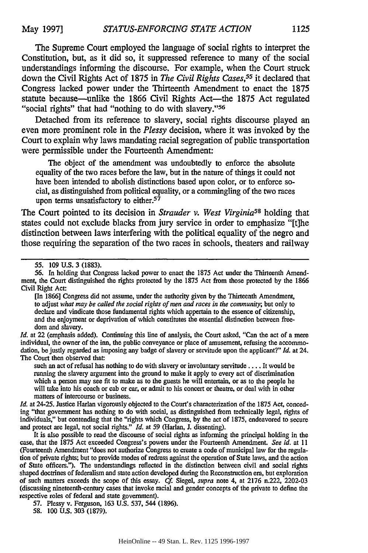The Supreme Court employed the language of social rights to interpret the Constitution, but, as it did so, it suppressed reference to many of the social understandings informing the discourse. For example, when the Court struck down the Civil Rights Act of **1875** in *The Civil Rights Cases,55* it declared that Congress lacked power under the Thirteenth Amendment to enact the **1875** statute because—unlike the 1866 Civil Rights Act—the 1875 Act regulated "social rights" that had "nothing to do with slavery."<sup>56</sup>

Detached from its reference to slavery, social rights discourse played an even more prominent role in the *Plessy* decision, where it was invoked **by** the Court to explain why laws mandating racial segregation of public transportation were permissible under the Fourteenth Amendment:

The object of the amendment was undoubtedly to enforce the absolute equality of the two races before the law, but in the nature of things it could not have been intended to abolish distinctions based upon color, or to enforce social, as distinguished from political equality, or a commingling of the two races upon terms unsatisfactory to either.<sup>57</sup>

The Court pointed to its decision in *Strauder v. West Virginia58* holding that states could not exclude blacks from jury service in order to emphasize "[t]he distinction between laws interfering with the political equality of the negro and those requiring the separation of the two races in schools, theaters and railway

[In **1866]** Congress did not assume, under the authority given by the Thirteenth Amendment, to adjust *what may be called the social rights of men and races in the community;* but only to declare and vindicate those fundamental rights which appertain to the essence of citizenship, and the enjoyment or deprivation of which constitutes the essential distinction between freedom and slavery.

*Id.* at 22 (emphasis added). Continuing this line of analysis, the Court asked, "Can the act of a mere individual, the owner of the inn, the public conveyance or place of amusement, refusing the accommodation, be justly regarded as imposing any badge of slavery or servitude upon the applicant?" *Id.* at 24. The Court then observed that

such an act of refusal has nothing to do with slavery or involuntary servitude .... It would be running the slavery argument into the ground to make it apply to every act of discrimination which a person may see fit to make as to the guests he will entertain, or as to the people he will take into his coach or cab or car, or admit to his concert or theatre, or deal with in other matters of intercourse or business.

*Id.* at 24-25. Justice Harlan vigorously objected to the Court's characterization of the 1875 Act, conceding "that government has nothing to do with social, as distinguished from technically legal, rights of individuals:' but contending that the "rights which Congress, by the act of 1875, endeavored to secure and protect are legal, not social rights." *Id.* at 59 (Harlan, J. dissenting).

It is also possible to read the discourse of social rights as informing the principal holding in the case, that the 1875 Act exceeded Congress's powers under the Fourteenth Amendment. *See id.* at **11** (Fourteenth Amendment "does not authorize Congress to create a code of municipal law for the regulation of private rights; but to provide modes of redress against the operation of State laws, and the action of State officers."). The understandings reflected in the distinction between civil and social rights shaped doctrines of federalism and state action developed during the Reconstruction era, but exploration of such matters exceeds the scope of this essay. **Cf.** Siegel, *supra* note 4, at 2176 n.222, 2202-03 (discussing nineteenth-century cases that invoke racial and gender concepts of the private to define the respective roles of federal and state government).

57. Plessy v. Ferguson, 163 U.S. 537, 544 (1896).

58. 100 U.S. 303 (1879).

<sup>55. 109</sup> U.S. 3 (1883).

<sup>56.</sup> In holding that Congress lacked power to enact the 1875 Act under the Thirteenth Amendment, the Court distinguished the rights protected **by** the 1875 Act from those protected **by** the 1866 Civil Right Act: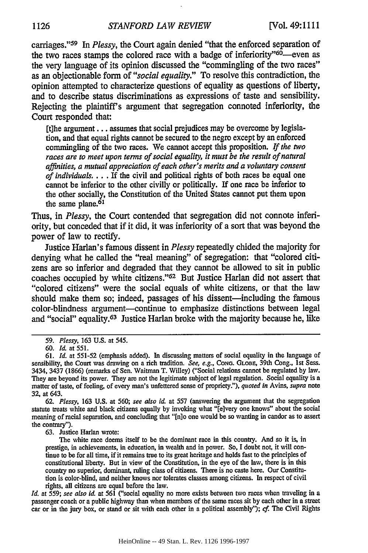carriages." 59 In *Plessy,* the Court again denied "that the enforced separation of the two races stamps the colored race with a badge of inferiority" $60$ —even as the very language of its opinion discussed the "commingling of the two races" as an objectionable form of *"social equality."* To resolve this contradiction, the opinion attempted to characterize questions of equality as questions of liberty, and to describe status discriminations as expressions of taste and sensibility. Rejecting the plaintiff's argument that segregation connoted inferiority, the Court responded that:

[t]he argument... assumes that social prejudices may be overcome by legislation, and that equal rights cannot be secured to the negro except by an enforced commingling of the two races. We cannot accept this proposition. *If the two races are to meet upon terms of social equality, it must be the result of natural affinities, a mutual appreciation of each other's merits and a voluntary consent of individuals....* If the civil and political rights of both races be equal one cannot be inferior to the other civilly or politically. If one race be inferior to the other socially, the Constitution of the United States cannot put them upon the same plane.<sup>61</sup>

Thus, in *Plessy,* the Court contended that segregation did not connote inferiority, but conceded that if it did, it was inferiority of a sort that was beyond the power of law to rectify.

Justice Harlan's famous dissent in *Plessy* repeatedly chided the majority for denying what he called the "real meaning" of segregation: that "colored citizens are so inferior and degraded that they cannot be allowed to sit in public coaches occupied by white citizens."<sup>62</sup> But Justice Harlan did not assert that "colored citizens" were the social equals of white citizens, or that the law should make them so; indeed, passages of his dissent—including the famous color-blindness argument—continue to emphasize distinctions between legal and "social" equality. 63 Justice Harlan broke with the majority because he, like

*62. Plessy,* 163 U.S. at *560; see also id.* at 557 (answering the argument that the segregation statute treats white and black citizens equally by invoking what "[e]very one knows" about the social meaning of racial separation, and concluding that "[n]o one would be so wanting in candor as to assert the contrary").

63. Justice Harlan wrote:

The white race deems itself to be the dominant race in this country. And so it is, in prestige, in achievements, in education, in wealth and in power. So, I doubt not, it will continue to be for all time, if it remains true to its great heritage and holds fast to the principles of constitutional liberty. But in view of the Constitution, in the eye of the law, there is in this country no superior, dominant, ruling class of citizens. There is no caste here. Our Constitution is color-blind, and neither knows nor tolerates classes among citizens. In respect of civil rights, all citizens are equal before the law.

*Id.* at 559; *see also id.* at 561 ("social equality no more exists between two races when traveling in a passenger coach or a public highway than when members of the same races sit by each other in a street car or in the jury box, or stand or sit with each other in a political assembly"); *cf.* The Civil Rights

<sup>59.</sup> *Plessy,* 163 U.S. at 545.

<sup>60.</sup> *Id* at 551.

<sup>61.</sup> *Id.* at 551-52 (emphasis added). In discussing matters of social equality in the language of sensibility, the Court was drawing on a rich tradition. *See, e.g., CONG.* **GLOBE,** 39th Cong., 1st Sess. 3434, 3437 (1866) (remarks of Sen. Waitman T. Willey) ("Social relations cannot be regulated by law. They are beyond its power. They are not the legitimate subject of legal regulation. Social equality is a matter of taste, of feeling, of every man's unfettered sense of propriety."), *quoted in* Avins, *supra* note **32,** at 643.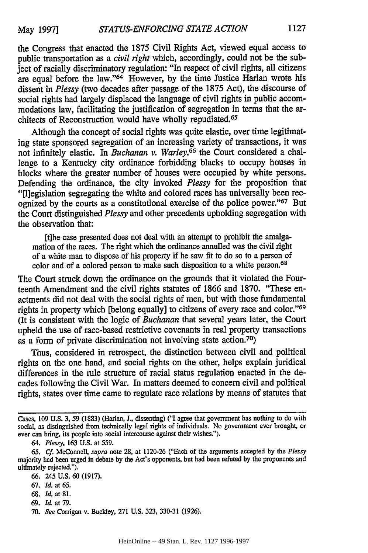the Congress that enacted the 1875 Civil Rights Act, viewed equal access to public transportation as a *civil right* which, accordingly, could not be the subject of racially discriminatory regulation: "In respect of civil rights, all citizens are equal before the law."64 However, **by** the time Justice Harlan wrote his dissent in *Plessy* (two decades after passage of the 1875 Act), the discourse of social rights had largely displaced the language of civil rights in public accommodations law, facilitating the justification of segregation in terms that the architects of Reconstruction would have wholly repudiated.<sup>65</sup>

Although the concept of social rights was quite elastic, over time legitimating state sponsored segregation of an increasing variety of transactions, it was not infinitely elastic. In *Buchanan v. Warley,66* the Court considered a challenge to a Kentucky city ordinance forbidding blacks to occupy houses in blocks where the greater number of houses were occupied by white persons. Defending the ordinance, the city invoked *Plessy* for the proposition that "[legislation segregating the white and colored races has universally been recognized by the courts as a constitutional exercise of the police power."67 But the Court distinguished *Plessy* and other precedents upholding segregation with the observation that:

[t]he case presented does not deal with an attempt to prohibit the amalgamation of the races. The right which the ordinance annulled was the civil right of a white man to dispose of his property if he saw fit to do so to a person of color and of a colored person to make such disposition to a white person.<sup>68</sup>

The Court struck down the ordinance on the grounds that it violated the Fourteenth Amendment and the civil rights statutes of 1866 and 1870. "These enactments did not deal with the social rights of men, but with those fundamental rights in property which [belong equally] to citizens of every race and color."<sup>69</sup> (It is consistent with the logic of *Buchanan* that several years later, the Court upheld the use of race-based restrictive covenants in real property transactions as a form of private discrimination not involving state action.<sup>70</sup>)

Thus, considered in retrospect, the distinction between civil and political rights on the one hand, and social rights on the other, helps explain juridical differences in the rule structure of racial status regulation enacted in the decades following the Civil War. In matters deemed to concern civil and political rights, states over time came to regulate race relations by means of statutes that

- 68. **Id.** at 81.
- **69. Id.** at 79.

Cases, **109 U.S. 3, 59 (1883)** (Harlan, **J.,** dissenting) **("I** agree that government has nothing to do with social, as distinguished from technically legal rights of individuals. No government ever brought, or ever can bring, its people into social intercourse against their wishes.").

*<sup>64.</sup> Plessy,* **163 U.S.** at 559.

<sup>65.</sup> *Cf.* McConnell, *supra* note **28,** at 1120-26 ("Each of the arguments accepted by the *Plessy* majority had been urged in debate by the Act's opponents, but had been refuted by the proponents and ultimately rejected.").

**<sup>66.</sup>** 245 **U.S.** 60 (1917).

<sup>67.</sup> Id. at 65.

**<sup>70.</sup>** See Corrigan v. Buckley, **271 U.S. 323, 330-31 (1926).**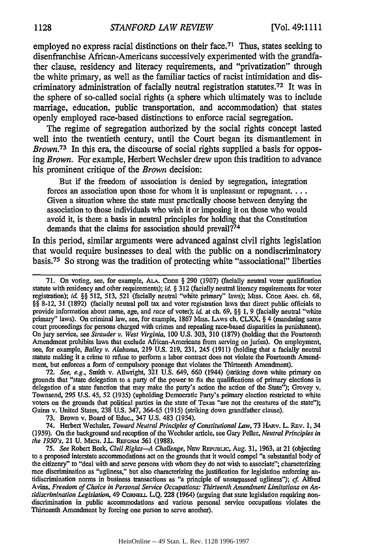employed no express racial distinctions on their face.<sup>71</sup> Thus, states seeking to disenfranchise African-Americans successively experimented with the grandfather clause, residency and literacy requirements, and "privatization" through the white primary, as well as the familiar tactics of racist intimidation and discriminatory administration of facially neutral registration statutes. 72 It was in the sphere of so-called social rights (a sphere which ultimately was to include marriage, education, public transportation, and accommodation) that states openly employed race-based distinctions to enforce racial segregation.

The regime of segregation authorized **by** the social rights concept lasted well into the twentieth century, until the Court began its dismantlement in *Brown.73* In this era, the discourse of social rights supplied a basis for opposing *Brown.* For example, Herbert Wechsler drew upon this tradition to advance his prominent critique of the *Brown* decision:

But if the freedom of association is denied **by** segregation, integration forces an association upon those for whom it is unpleasant or repugnant.... Given a situation where the state must practically choose between denying the association to those individuals who wish it or imposing it on those who would avoid it, is there a basis in neutral principles for holding that the Constitution demands that the claims for association should prevail?74

In this period, similar arguments were advanced against civil rights legislation that would require businesses to deal with the public on a nondiscriminatory basis.75 So strong was the tradition of protecting white "associational" liberties

71. On voting, see, for example, **ALA.** CoDE § 290 (1907) (facially neutral voter qualification statute with residency and other requirements); *id. §* 312 (facially neutral literacy requirements for voter registration); *id.* §§ 512, 513, 521 (facially neutral "white primary" laws); Miss. CODE ANN. ch. 68, §§ 8-12, 31 (1892) (facially neutral poll tax and voter registration laws that direct public officials to provide information about name, age, and race of voter); *id.* at ch. 69, §§ 1, 9 (facially neutral "white primary" laws). On criminal law, see, for example, 1867 MIss. LAws ch. CLXX, § 4 (mandating same court proceedings for persons charged with crimes and repealing race-based disparities in punishment). On jury service, see *Strauder v. West Virginia,* 100 U.S. 303, 310 (1879) (holding that the Fourteenth Amendment prohibits laws that exclude African-Americans from serving on juries). On employment. see, for example, *Bailey v. Alabama,* 219 U.S. 219, 231, 245 (1911) (holding that a facially neutral statute making it a crime to refuse to perform a labor contract does not violate the Fourteenth Amendment, but enforces a form of compulsory peonage that violates the Thirteenth Amendment).

72. *See, e.g.,* Smith v. Allwright, 321 U.S. 649, 660 (1944) (striking down white primary on grounds that "state delegation to a party of the power to fix the qualifications of primary elections is delegation of a state function that may make the party's action the action of the State"); Grovey v. Townsend, 295 U.S. 45, 52 (1935) (upholding Democratic Party's primary election restricted to white voters on the grounds that political parties in the state of Texas "are not the creatures of the state"); Guinn v. United States, 238 U.S. 347, 364-65 (1915) (striking down grandfather clause).

73. Brown v. Board of Educ., 347 U.S. 483 (1954).

74. Herbert Wechsler, *Toward Neutral Principles of Constitutional Law,* 73 HAgv. L. **REv.** 1, 34 (1959). On the background and reception of the Wechsler article, see Gary Peller, *Neutral Principles in the 1950's,* 21 **U.** MICH. J.L. RFoma 561 (1988).

75. *See* Robert Bork, *Civil Rights-A Challenge,* NEw REPutrac, Aug. 31, 1963, at 21 (objecting to a proposed interstate accommodations act on the grounds that it would compel "a substantial body of the citizenry" to "deal with and serve persons with whom they do not wish to associate"; characterizing race discrimination as "ugliness," but also characterizing the justification for legislation enforcing antidiscrimination norms in business transactions as "a principle of unsurpassed ugliness"); *cf.* Alfred Avins, *Freedom of Choice in Personal Service Occupations: Thirteenth Amendment Limitations on Antidiscrimination Legislation,* 49 CoRNELL L.Q. 228 (1964) (arguing that state legislation requiring nondiscrimination in public accommodations and various personal service occupations violates the Thirteenth Amendment by forcing one person to serve another).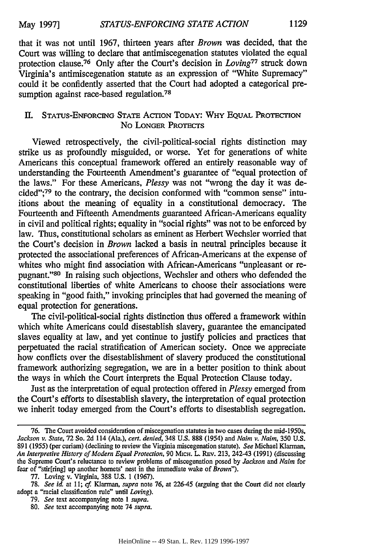that it was not until 1967, thirteen years after *Brown* was decided, that the Court was willing to declare that antimiscegenation statutes violated the equal protection clause.76 Only after the Court's decision in *Loving77* struck down Virginia's antimiscegenation statute as an expression of "White Supremacy" could it be confidently asserted that the Court had adopted a categorical presumption against race-based regulation.<sup>78</sup>

## I. STATUS-ENFORCING **STATE** ACrION TODAY: WHY EQUAL PROTECrION No LONGER PROTECrS

Viewed retrospectively, the civil-political-social rights distinction may strike us as profoundly misguided, or worse. Yet for generations of white Americans this conceptual framework offered an entirely reasonable way of understanding the Fourteenth Amendment's guarantee of "equal protection of the laws." For these Americans, *Plessy* was not "wrong the day it was decided";79 to the contrary, the decision conformed with "common sense" intuitions about the meaning of equality in a constitutional democracy. The Fourteenth and Fifteenth Amendments guaranteed African-Americans equality in civil and political rights; equality in "social rights" was not to be enforced by law. Thus, constitutional scholars as eminent as Herbert Wechsler worried that the Court's decision in *Brown* lacked a basis in neutral principles because it protected the associational preferences of African-Americans at the expense of whites who might find association with African-Americans "unpleasant or repugnant."<sup>80</sup> In raising such objections, Wechsler and others who defended the constitutional liberties of white Americans to choose their associations were speaking in "good faith," invoking principles that had governed the meaning of equal protection for generations.

The civil-political-social rights distinction thus offered a framework within which white Americans could disestablish slavery, guarantee the emancipated slaves equality at law, and yet continue to justify policies and practices that perpetuated the racial stratification of American society. Once we appreciate how conflicts over the disestablishment of slavery produced the constitutional framework authorizing segregation, we are in a better position to think about the ways in which the Court interprets the Equal Protection Clause today.

Just as the interpretation of equal protection offered in *Plessy* emerged from the Court's efforts to disestablish slavery, the interpretation of equal protection we inherit today emerged from the Court's efforts to disestablish segregation.

**<sup>76.</sup>** The Court avoided consideration of miscegenation statutes in two cases during the mid-1950s, *Jackson* v. *State,* 72 So. 2d 114 (Ala.), *cert. denied,* 348 U.S. 888 (1954) and *Naim v. Naim,* 350 U.S. 891 (1955) (per curiam) (declining to review the Virginia miscegenation statute). *See* Michael Klarnan, *An Interpretive History of Modern Equal Protection,* 90 **MIcH.** L. REv. 213, 242-43 (1991) (discussing the Supreme Court's reluctance to review problems of miscegenation posed by *Jackson and Naim* for fear of "stir[ring] up another hornets' nest in the immediate wake of *Brown").*

<sup>77.</sup> Loving v. Virginia, 388 U.S. **1** (1967).

<sup>78.</sup> *See* id. at **11; cf** Klarman, *supra* note 76, at 226-45 (arguing that the Court did not clearly adopt a "racial classification rule" until *Loving).*

<sup>79.</sup> *See* text accompanying note *I supra.*

<sup>80.</sup> *See* text accompanying note 74 *supra.*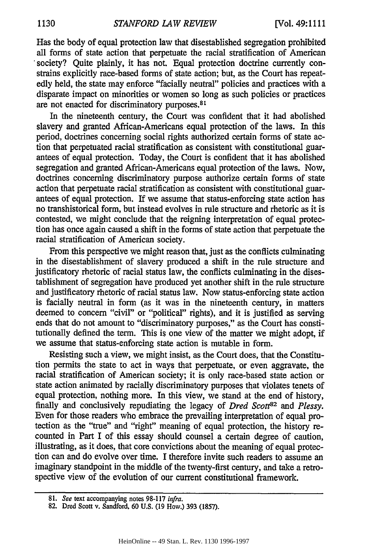Has the body of equal protection law that disestablished segregation prohibited all forms of state action that perpetuate the racial stratification of American society? Quite plainly, it has not. Equal protection doctrine currently constrains explicitly race-based forms of state action; but, as the Court has repeatedly held, the state may enforce "facially neutral" policies and practices with a disparate impact on minorities or women so long as such policies or practices are not enacted for discriminatory purposes.81

In the nineteenth century, the Court was confident that it had abolished slavery and granted African-Americans equal protection of the laws. In this period, doctrines concerning social rights authorized certain forms of state action that perpetuated racial stratification as consistent with constitutional guarantees of equal protection. Today, the Court is confident that it has abolished segregation and granted African-Americans equal protection of the laws. Now, doctrines concerning discriminatory purpose authorize certain forms of state action that perpetuate racial stratification as consistent with constitutional guarantees of equal protection. If we assume that status-enforcing state action has no transhistorical form, but instead evolves in rule structure and rhetoric as it is contested, we might conclude that the reigning interpretation of equal protection has once again caused a shift in the forms of state action that perpetuate the racial stratification of American society.

From this perspective we might reason that, just as the conflicts culminating in the disestablishment of slavery produced a shift in the rule structure and justificatory rhetoric of racial status law, the conflicts culminating in the disestablishment of segregation have produced yet another shift in the rule structure and justificatory rhetoric of racial status law. Now status-enforcing state action is facially neutral in form (as it was in the nineteenth century, in matters deemed to concern "civil" or "political" rights), and it is justified as serving ends that do not amount to "discriminatory purposes," as the Court has constitutionally defined the term. This is one view of the matter we might adopt, if we assume that status-enforcing state action is mutable in form.

Resisting such a view, we might insist, as the Court does, that the Constitution permits the state to act in ways that perpetuate, or even aggravate, the racial stratification of American society; it is only race-based state action or state action animated by racially discriminatory purposes that violates tenets of equal protection, nothing more. In this view, we stand at the end of history, finally and conclusively repudiating the legacy of *Dred Scott82 and Plessy.* Even for those readers who embrace the prevailing interpretation of equal protection as the "true" and "right" meaning of equal protection, the history recounted in Part I of this essay should counsel a certain degree of caution, illustrating, as it does, that core convictions about the meaning of equal protection can and do evolve over time. I therefore invite such readers to assume an imaginary standpoint in the middle of the twenty-first century, and take a retrospective view of the evolution of our current constitutional framework.

**<sup>81.</sup>** *See* text accompanying notes **98-117** *infra.* 82. Dred Scott v. Sandford, 60 U.S. (19 How.) 393 (1857).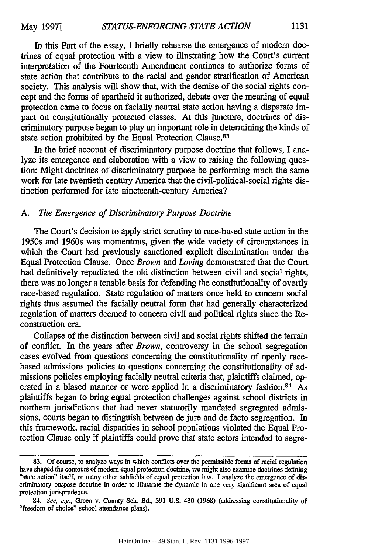In this Part of the essay, I briefly rehearse the emergence of modem doctrines of equal protection with a view to illustrating how the Court's current interpretation of the Fourteenth Amendment continues to authorize forms of state action that contribute to the racial and gender stratification of American society. This analysis will show that, with the demise of the social rights concept and the forms of apartheid it authorized, debate over the meaning of equal protection came to focus on facially neutral state action having a disparate impact on constitutionally protected classes. At this juncture, doctrines of discriminatory purpose began to play an important role in determining the kinds of state action prohibited by the Equal Protection Clause.<sup>83</sup>

In the brief account of discriminatory purpose doctrine that follows, I analyze its emergence and elaboration with a view to raising the following question: Might doctrines of discriminatory purpose be performing much the same work for late twentieth century America that the civil-political-social rights distinction performed for late nineteenth-century America?

# *A. The Emergence of Discriminatory Purpose Doctrine*

The Court's decision to apply strict scrutiny to race-based state action in the 1950s and 1960s was momentous, given the wide variety of circumstances in which the Court had previously sanctioned explicit discrimination under the Equal Protection Clause. Once *Brown and Loving* demonstrated that the Court had definitively repudiated the old distinction between civil and social rights, there was no longer a tenable basis for defending the constitutionality of overtly race-based regulation. State regulation of matters once held to concern social rights thus assumed the facially neutral form that had generally characterized regulation of matters deemed to concern civil and political rights since the Reconstruction era.

Collapse of the distinction between civil and social rights shifted the terrain of conflict. In the years after *Brown,* controversy in the school segregation cases evolved from questions concerning the constitutionality of openly racebased admissions policies to questions concerning the constitutionality of admissions policies employing facially neutral criteria that, plaintiffs claimed, operated in a biased manner or were applied in a discriminatory fashion.<sup>84</sup> As plaintiffs began to bring equal protection challenges against school districts in northern jurisdictions that had never statutorily mandated segregated admissions, courts began to distinguish between de jure and de facto segregation. In this framework, racial disparities in school populations violated the Equal Protection Clause only if plaintiffs could prove that state actors intended to segre-

**<sup>83.</sup>** Of course, to analyze ways in which conflicts over the permissible forms of racial regulation have shaped the contours of modem equal protection doctrine, we might also examine doctrines defining "state action" itself, or many other subfields of equal protection law. I analyze the emergence of discriminatory purpose doctrine in order to illustrate the dynamic in one very significant area of equal protection jurisprudence.

<sup>84.</sup> See, e.g., Green v. County Sch. Bd., 391 U.S. 430 (1968) (addressing constitutionality of "freedom of choice" school attendance plans).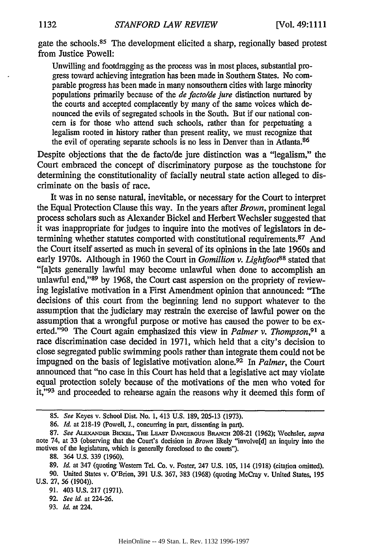gate the schools.85 The development elicited a sharp, regionally based protest from Justice Powell:

Unwilling and footdragging as the process was in most places, substantial progress toward achieving integration has been made in Southern States. No comparable progress has been made in many nonsouthern cities with large minority populations primarily because of the *de facto/de jure* distinction nurtured by the courts and accepted complacently by many of the same voices which denounced the evils of segregated schools in the South. But if our national concern is for those who attend such schools, rather than for perpetuating a legalism rooted in history rather than present reality, we must recognize that the evil of operating separate schools is no less in Denver than in Atlanta.<sup>86</sup>

Despite objections that the de facto/de jure distinction was a "legalism," the Court embraced the concept of discriminatory purpose as the touchstone for determining the constitutionality of facially neutral state action alleged to discriminate on the basis of race.

It was in no sense natural, inevitable, or necessary for the Court to interpret the Equal Protection Clause this way. In the years after *Brown,* prominent legal process scholars such as Alexander Bickel and Herbert Wechsler suggested that it was inappropriate for judges to inquire into the motives of legislators in determining whether statutes comported with constitutional requirements.<sup>87</sup> And the Court itself asserted as much in several of its opinions in the late 1960s and early 1970s. Although in 1960 the Court in *Gomillion v. Lightfoot*<sup>88</sup> stated that "[a]cts generally lawful may become unlawful when done to accomplish an unlawful end,"89 by 1968, the Court cast aspersion on the propriety of reviewing legislative motivation in a First Amendment opinion that announced: "The decisions of this court from the beginning lend no support whatever to the assumption that the judiciary may restrain the exercise of lawful power on the assumption that a wrongful purpose or motive has caused the power to be exerted."<sup>90</sup> The Court again emphasized this view in *Palmer v. Thompson*,<sup>91</sup> a race discrimination case decided in 1971, which held that a city's decision to close segregated public swimming pools rather than integrate them could not be impugned on the basis of legislative motivation alone. 92 In *Palmer,* the Court announced that "no case in this Court has held that a legislative act may violate equal protection solely because of the motivations of the men who voted for it,"93 and proceeded to rehearse again the reasons why it deemed this form of

93. *Id.* at 224.

<sup>85.</sup> *See* Keyes v. School Dist. No. **1,** 413 U.S. 189, 205-13 (1973).

<sup>86.</sup> *Id.* at 218-19 (Powell, **J.,** concurring in part, dissenting in part).

<sup>87.</sup> *See* ALEXANDER BicKanL, THE LEAST DANoEROUS BRANCH 208-21 (1962); Wechsler, *supra* note 74, at 33 (observing that the Court's decision in *Brown* likely "involve[d] an inquiry into the motives of the legislature, which is generally foreclosed to the courts").

<sup>88. 364</sup> U.S. 339 (1960).

<sup>89.</sup> Id. at 347 (quoting Western Tel. Co. v. Foster, 247 U.S. 105, 114 (1918) (citation omitted).

<sup>90.</sup> United States v. O'Brien, 391 U.S. 367, 383 (1968) (quoting McCray v. United States, 195 U.S. 27, 56 (1904)).

<sup>91. 403</sup> U.S. 217 (1971).

<sup>92.</sup> *See id* at 224-26.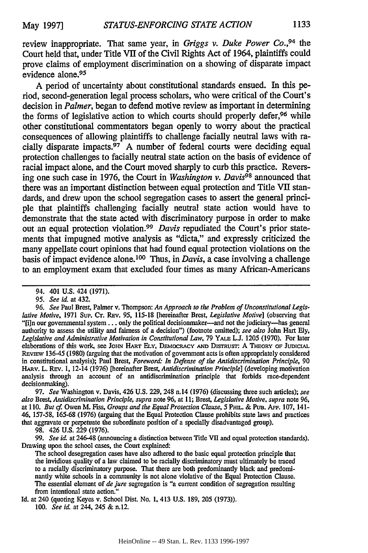review inappropriate. That same year, in *Griggs v. Duke Power Co.,94* the Court held that, under Title VII of the Civil Rights Act of 1964, plaintiffs could prove claims of employment discrimination on a showing of disparate impact evidence alone.<sup>95</sup>

A period of uncertainty about constitutional standards ensued. In this period, second-generation legal process scholars, who were critical of the Court's decision in *Palmer,* began to defend motive review as important in determining the forms of legislative action to which courts should properly defer,<sup>96</sup> while other constitutional commentators began openly to worry about the practical consequences of allowing plaintiffs to challenge facially neutral laws with racially disparate impacts. $97$  A number of federal courts were deciding equal protection challenges to facially neutral state action on the basis of evidence of racial impact alone, and the Court moved sharply to curb this practice. Reversing one such case in 1976, the Court in *Washington v. Davis*<sup>98</sup> announced that there was an important distinction between equal protection and Title VII standards, and drew upon the school segregation cases to assert the general principle that plaintiffs challenging facially neutral state action would have to demonstrate that the state acted with discriminatory purpose in order to make out an equal protection violation.99 *Davis* repudiated the Court's prior statements that impugned motive analysis as "dicta," and expressly criticized the many appellate court opinions that had found equal protection violations on the basis of impact evidence alone.<sup>100</sup> Thus, in *Davis*, a case involving a challenge to an employment exam that excluded four times as many African-Americans

**97.** *See* Washington v. Davis, 426 **U.S. 229,** 248 n.14 **(1976)** (discussing three such articles); *see also Brest, Antidiscrimination Principle, supra* note **96,** at **11; Brest,** *Legislative Motive, supra* note **96,** at **110.** *But qf* Owen M. Fiss, *Groups and the Equal Protection Clause, 5* PHrL. **&** Put. **AiF. 107,** 141- 46, **157-58, 165-68 (1976)** (arguing that the Equal Protection Clause prohibits state laws and practices that aggravate or perpetuate the subordinate position of a specially disadvantaged group).

**98.** 426 **U.S. 229 (1976).**

**99.** *See* **id** at 246-48 (announcing a distinction between Title **VII** and equal protection standards). Drawing upon the school cases, the Court explained:

The school desegregation cases have also adhered to the basic equal protection principle that the invidious quality of a law claimed to be racially discriminatory must ultimately be traced to a racially discriminatory purpose. That there are both predominantly black and predominantly white schools in a community is not alone violative of the Equal Protection Clause. The essential element of *de jure* segregation is "a current condition of segregation resulting from intentional state action."

**Id.** at 240 (quoting Keyes v. School Dist. No. **1,** 413 **U.S. 189, 205 (1973)).** *100. See id.* at 244, 245 **&** n.12.

<sup>94. 401</sup> U.S. 424 (1971).

<sup>95.</sup> *See* id at 432.

*<sup>96.</sup> See* Paul Brest, Palmer v. Thompson: *An Approach to the Problem of Unconstitutional Legislative Motive,* 1971 Sup. **CT.** REv. 95, 115-18 [hereinafter Brest, *Legislative Motive]* (observing that "[i]n our governmental system... only the political decisionmaker-and not the judiciary-has general authority to assess the utility and fairness of a decision") (footnote omitted); *see also* John Hart Ely, *Legislative and Administrative Motivation in Constitutional Law,* 79 YALE **L.J.** 1205 (1970). For later elaborations of this work, see **JoHN HART ELY, DEMoCRACY AND DisTRuSr: A THEORY oF JUDIcIAL** REVIEW 136-45 (1980) (arguing that the motivation of government acts is often appropriately considered in constitutional analysis); Paul Brest, *Foreword. In Defense of the Antidiscrimination Principle,* **90** HARV. L. **REV. 1,** 12-14 **(1976)** [hereinafter **Brest,** *Antidiscrimination Principle]* (developing motivation analysis through an account of an antidiscrimination principle that forbids race-dependent decisionmaking).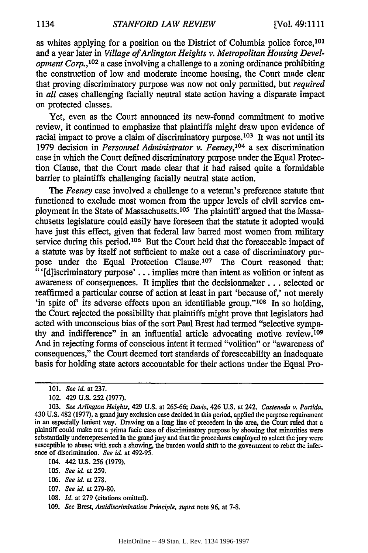as whites applying for a position on the District of Columbia police force,<sup>101</sup> and a year later in *Village of Arlington Heights v. Metropolitan Housing Development Corp.,'02* a case involving a challenge to a zoning ordinance prohibiting the construction of low and moderate income housing, the Court made clear that proving discriminatory purpose was now not only permitted, but *required* in *all* cases challenging facially neutral state action having a disparate impact on protected classes.

Yet, even as the Court announced its new-found commitment to motive review, it continued to emphasize that plaintiffs might draw upon evidence of racial impact to prove a claim of discriminatory purpose.<sup>103</sup> It was not until its 1979 decision in *Personnel Administrator v. Feeney,10 4* a sex discrimination case in which the Court defined discriminatory purpose under the Equal Protection Clause, that the Court made clear that it had raised quite a formidable barrier to plaintiffs challenging facially neutral state action.

*The Feeney* case involved a challenge to a veteran's preference statute that functioned to exclude most women from the upper levels of civil service employment in the State of Massachusetts.<sup>105</sup> The plaintiff argued that the Massachusetts legislature could easily have foreseen that the statute it adopted would have just this effect, given that federal law barred most women from military service during this period.<sup>106</sup> But the Court held that the foreseeable impact of a statute was by itself not sufficient to make out a case of discriminatory purpose under the Equal Protection Clause.<sup>107</sup> The Court reasoned that: "'[d]iscriminatory purpose' **...** implies more than intent as volition or intent as awareness of consequences. It implies that the decisionmaker... selected or reaffirmed a particular course of action at least in part 'because of,' not merely 'in spite of its adverse effects upon an identifiable group."<sup>108</sup> In so holding, the Court rejected the possibility that plaintiffs might prove that legislators had acted with unconscious bias of the sort Paul Brest had termed "selective sympathy and indifference" in an influential article advocating motive review.<sup>109</sup> And in rejecting forms of conscious intent it termed "volition" or "awareness of consequences," the Court deemed tort standards of foreseeability an inadequate basis for holding state actors accountable for their actions under the Equal Pro-

- 105. *See id.* at 259.
- 106. *See id.* at 278.
- 107. *See id.* at 279-80.
- 108. *Id.* at 279 (citations omitted).
- 109. *See* Brest, *Antidiscrimination Principle, supra* note **96,** at 7-8.

<sup>101.</sup> *See id.* at 237.

<sup>102. 429</sup> U.S. 252 (1977).

<sup>103.</sup> *See Arlington Heights,* 429 U.S. at 265-66; *Davis,* 426 U.S. at 242. *Casteneda v. Partida,* 430 U.S. 482 (1977), a grand jury exclusion case decided in this period, applied the purpose requirement in an especially lenient way. Drawing on a long line of precedent in the area, the Court ruled that a plaintiff could make out a prima facie case of discriminatory purpose by showing that minorities were substantially underrepresented in the grand jury and that the procedures employed to select the jury were susceptible to abuse; with such a showing, the burden would shift to the government to rebut the inference of discrimination. See id. at 492-95.

<sup>104. 442</sup> U.S. 256 (1979).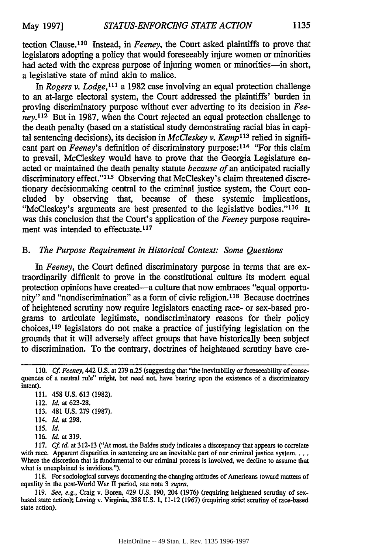tection Clause. 110 Instead, in *Feeney,* the Court asked plaintiffs to prove that legislators adopting a policy that would foreseeably injure women or minorities had acted with the express purpose of injuring women or minorities-in short, a legislative state of mind akin to malice.

In *Rogers v. Lodge*,<sup>111</sup> a 1982 case involving an equal protection challenge to an at-large electoral system, the Court addressed the plaintiffs' burden in proving discriminatory purpose without ever adverting to its decision in *Fee*ney.<sup>112</sup> But in 1987, when the Court rejected an equal protection challenge to the death penalty (based on a statistical study demonstrating racial bias in capital sentencing decisions), its decision in *McCleskey v. Kemp <sup>13</sup>*relied in significant part on *Feeney's* definition of discriminatory purpose:<sup>114</sup> "For this claim to prevail, McCleskey would have to prove that the Georgia Legislature enacted or maintained the death penalty statute *because of* an anticipated racially discriminatory effect."<sup>115</sup> Observing that McCleskey's claim threatened discretionary decisionmaking central to the criminal justice system, the Court concluded by observing that, because of these systemic implications, "McCleskey's arguments are best presented to the legislative bodies."<sup>116</sup> It was this conclusion that the Court's application of the *Feeney* purpose requirement was intended to effectuate.<sup>117</sup>

#### *B. The Purpose Requirement in Historical Context. Some Questions*

*In Feeney,* the Court defined discriminatory purpose in terms that are extraordinarily difficult to prove in the constitutional culture its modem equal protection opinions have created-a culture that now embraces "equal opportunity" and "nondiscrimination" as a form of civic religion.<sup>118</sup> Because doctrines of heightened scrutiny now require legislators enacting race- or sex-based programs to articulate legitimate, nondiscriminatory reasons for their policy choices,<sup>119</sup> legislators do not make a practice of justifying legislation on the grounds that it will adversely affect groups that have historically been subject to discrimination. To the contrary, doctrines of heightened scrutiny have cre-

- 113. 481 U.S. 279 (1987).
- 114. *Id.* at 298.

116. *Id.* at 319.

118. For sociological surveys documenting the changing attitudes of Americans toward matters of equality in the post-World War II period, see note 3 *supra.*

119. *See, e.g.,* Craig v. Boren, 429 U.S. 190, 204 (1976) (requiring heightened scrutiny of sexbased state action); Loving v. Virginia, 388 U.S. 1, 11-12 (1967) (requiring strict scrutiny of race-based state action).

<sup>110.</sup> *Cf. Feeney,* 442 **U.S.** at **279** n.25 (suggesting that "the inevitability or foreseeability of consequences of a neutral rule" might, but need not, have bearing upon the existence of a discriminatory intent).

<sup>111. 458</sup> U.S. 613 (1982).

<sup>112.</sup> *Id.* at 623-28.

<sup>115.</sup> *Id*

**<sup>117.</sup>** *Cf id.* at 312-13 ("At most, the Baldus study indicates a discrepancy that appears to correlate with race. Apparent disparities in sentencing are an inevitable part of our criminal justice system. **...** Where the discretion that is fundamental to our criminal process is involved, we decline to assume that what is unexplained is invidious.").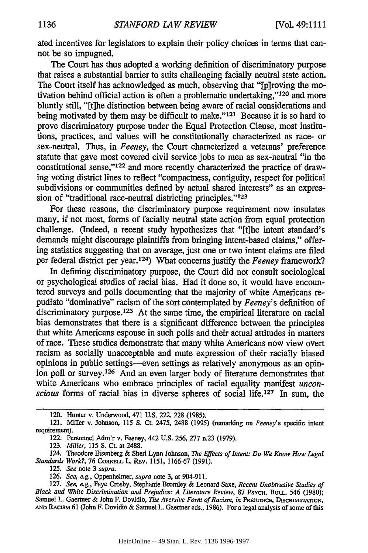ated incentives for legislators to explain their policy choices in terms that cannot be so impugned.

The Court has thus adopted a working definition of discriminatory purpose that raises a substantial barrier to suits challenging facially neutral state action. The Court itself has acknowledged as much, observing that "[p]roving the motivation behind official action is often a problematic undertaking,"<sup>120</sup> and more bluntly still, "[t]he distinction between being aware of racial considerations and being motivated by them may be difficult to make. $12<sup>121</sup>$  Because it is so hard to prove discriminatory purpose under the Equal Protection Clause, most institutions, practices, and values will be constitutionally characterized as race- or sex-neutral. Thus, in *Feeney,* the Court characterized a veterans' preference statute that gave most covered civil service jobs to men as sex-neutral "in the constitutional sense," $122$  and more recently characterized the practice of drawing voting district lines to reflect "compactness, contiguity, respect for political subdivisions or communities defined by actual shared interests" as an expression of "traditional race-neutral districting principles."<sup>123</sup>

For these reasons, the discriminatory purpose requirement now insulates many, if not most, forms of facially neutral state action from equal protection challenge. (Indeed, a recent study hypothesizes that "[t]he intent standard's demands might discourage plaintiffs from bringing intent-based claims," offering statistics suggesting that on average, just one or two intent claims are filed per federal district per year.<sup>124</sup>) What concerns justify the *Feeney* framework?

In defining discriminatory purpose, the Court did not consult sociological or psychological studies of racial bias. Had it done so, it would have encountered surveys and polls documenting that the majority of white Americans repudiate "dominative" racism of the sort contemplated by *Feeney's* definition of discriminatory purpose.<sup>125</sup> At the same time, the empirical literature on racial bias demonstrates that there is a significant difference between the principles that white Americans espouse in such polls and their actual attitudes in matters of race. These studies demonstrate that many white Americans now view overt racism as socially unacceptable and mute expression of their racially biased opinions in public settings—even settings as relatively anonymous as an opinion poll or survey.<sup>126</sup> And an even larger body of literature demonstrates that white Americans who embrace principles of racial equality manifest *unconscious* forms of racial bias in diverse spheres of social life.127 In sum, the

125. *See* note 3 *supra.*

<sup>120.</sup> Hunter v. Underwood, 471 U.S. 222, 228 (1985).

<sup>121.</sup> Miller v. Johnson, 115 S. Ct. 2475, 2488 (1995) (remarking on *Feeney's* specific intent requirement).

<sup>122.</sup> Personnel Adm'r v. Feeney, 442 U.S. 256, 277 n.23 (1979).

*<sup>123.</sup> Miller,* 115 S. Ct. at 2488.

<sup>124.</sup> Theodore Eisenberg & Sheri Lynn Johnson, *The Effects of Intent: Do We Know How Legal Standards Work?*, 76 CORNELL L. REV. 1151, 1166-67 (1991).

<sup>126.</sup> *See, e.g.,* Oppenheimer, *supra* note 3, at 904-911.

<sup>127.</sup> *See, e.g.,* Faye Crosby, Stephanie Bromley & Leonard Saxe, *Recent Unobtrusive Studies of Black and White Discrimination and Prejudice: A Literature Review,* 87 PSYCH. **BULL.** 546 **(1980);** Samuel L. Gaertner & John F. Dovidio, *The Aversive Form of Racism*, in PreJUDICE, DISCRIMNATION, **AND** RACISM 61 (John F. Dovidio & Samuel L. Gaertner eds., 1986). For a legal analysis of some of this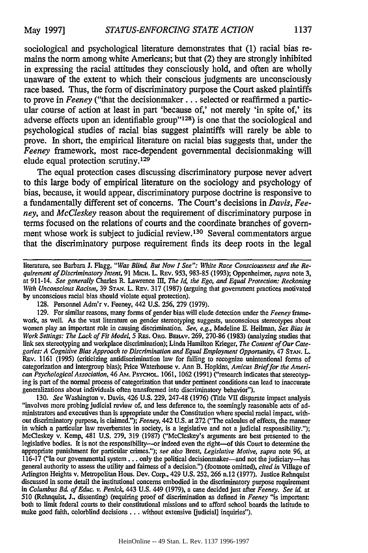sociological and psychological literature demonstrates that **(1)** racial bias remains the norm among white Americans; but that (2) they are strongly inhibited in expressing the racial attitudes they consciously hold, and often are wholly unaware of the extent to which their conscious judgments are unconsciously race based. Thus, the form of discriminatory purpose the Court asked plaintiffs to prove in *Feeney* ("that the decisionmaker... selected or reaffirmed a particular course of action at least in part 'because of,' not merely 'in spite of,' its adverse effects upon an identifiable group"128) **is** one that the sociological and psychological studies of racial bias suggest plaintiffs will rarely be able to prove. In short, the empirical literature on racial bias suggests that, under the *Feeney* framework, most race-dependent governmental decisionmaking will elude equal protection scrutiny.<sup>129</sup>

The equal protection cases discussing discriminatory purpose never advert to this large body of empirical literature on the sociology and psychology of bias, because, it would appear, discriminatory purpose doctrine is responsive to a fundamentally different set of concerns. The Court's decisions in *Davis, Feeney, and McCleskey* reason about the requirement of discriminatory purpose in terms focused on the relations of courts and the coordinate branches of government whose work is subject to judicial review.<sup>130</sup> Several commentators argue that the discriminatory purpose requirement finds its deep roots in the legal

**130.** *See* Washington v. Davis, 426 **U.S. 229,** 247-48 **(1976)** (Title VII disparate impact analysis "involves more probing judicial review of, and less deference to, the seemingly reasonable acts of administrators and executives than is appropriate under the Constitution where special racial impact, without discriminatory purpose, is claimed."); *Feeney,* 442 **U.S.** at **272 ("The** calculus of effects, the manner in which a particular law reverberates in society, is a legislative and not a judicial responsibility."); McCleskey v. Kemp, 481 **U.S. 279, 319 (1987)** ("McCleskey's arguments are best presented to the legislative bodies. It is not the responsibility--or indeed even the right-of this Court to determine the appropriate punishment for particular crimes."); *see also* Brest, *Legislative Motive, supra* note **96,** at **116-17 ("In** our governmental system... only the political decisionmaker-and not the judiciary-has general authority to assess the utility and fairness of a decision.") (footnote omitted), *cited in* Village of Arlington Heights v. Metropolitan Hous. Dev. Corp., 429 **U.S. 252, 266** n.12 **(1977).** Justice Rehnquist discussed in some detail the institutional concerns embodied in the discriminatory purpose requirement in *Columbus Bd. of Educ. v. Penick,* 443 U.S. 449 (1979), a case decided just after *Feeney. See id.* at 510 (Rehnquist, J., dissenting) (requiring proof of discrimination as defined in *Feeney* "is important: both to limit federal courts to their constitutional missions and to afford school boards the latitude to make good faith, colorblind decisions . . . without extensive [judicial] inquiries").

literature, see Barbara **J.** Flagg, *"Was Blin4 But Now I See": White Race Consciousness and the Requirement of Discriminatory Intent,* 91 MicH. L. REv. 953, 983-85 (1993); Oppenheimer, *supra* note 3, at 911-14. *See generally* Charles R. Lawrence *III, The* Id, *the Ego, and Equal Protection: Reckoning With Unconscious Racism,* 39 **STAN.** L. REv. 317 (1987) (arguing that government practices motivated by unconscious racial bias should violate equal protection).

<sup>128.</sup> Personnel Adm'r v. Feeney, 442 U.S. 256, 279 (1979).

<sup>129.</sup> For similar reasons, many forms of gender bias will elude detection under the *Feeney* framework, as well. As the vast literature on gender stereotyping suggests, unconscious stereotypes about women play an important role in causing discrimination. *See, e.g.,* Madeline E. Heilman, *Sex Bias in Work Settings: The Lack of Fit Model, 5* REs. ORG. BaHAV. 269, 270-86 (1983) (analyzing studies that link sex stereotyping and workplace discrimination); Linda Hamilton Krieger, *The Content of Our Categories: A Cognitive Bias Approach to Discrimination and Equal Employment Opportunity,* 47 **STAN.** L. REv. 1161 (1995) (criticizing antidiscrimination law for failing to recognize unintentional forms of categorization and intergroup bias); Price Waterhouse v. Ann B. Hopkins, *Amicus Brieffor the American Psychological Association,* 46 AM. PSYCHOL. 1061, 1062 (1991) ("research indicates that stereotyping is part of the normal process of categorization that under pertinent conditions can lead to inaccurate generalizations about individuals often transformed into discriminatory behavior").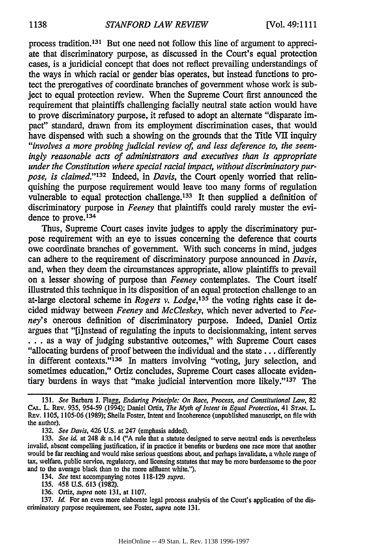process tradition.131 But one need not follow this line of argument to appreciate that discriminatory purpose, as discussed in the Court's equal protection cases, is a juridicial concept that does not reflect prevailing understandings of the ways in which racial or gender bias operates, but instead functions to protect the prerogatives of coordinate branches of government whose work is subject to equal protection review. When the Supreme Court first announced the requirement that plaintiffs challenging facially neutral state action would have to prove discriminatory purpose, it refused to adopt an alternate "disparate impact" standard, drawn from its employment discrimination cases, that would have dispensed with such a showing on the grounds that the Title VII inquiry *"involves a more probing judicial review* of, *and less deference to, the seemingly reasonable acts of administrators and executives than is appropriate under the Constitution where special racial impact, without discriminatory purpose, is claimed."132* Indeed, in *Davis,* the Court openly worried that relinquishing the purpose requirement would leave too many forms of regulation vulnerable to equal protection challenge.<sup>133</sup> It then supplied a definition of discriminatory purpose in *Feeney* that plaintiffs could rarely muster the evidence to prove.134

Thus, Supreme Court cases invite judges to apply the discriminatory purpose requirement with an eye to issues concerning the deference that courts owe coordinate branches of government. With such concerns in mind, judges can adhere to the requirement of discriminatory purpose announced in *Davis,* and, when they deem the circumstances appropriate, allow plaintiffs to prevail on a lesser showing of purpose than *Feeney* contemplates. The Court itself illustrated this technique in its disposition of an equal protection challenge to an at-large electoral scheme in *Rogers v. Lodge*,<sup>135</sup> the voting rights case it decided midway between *Feeney and McCleskey,* which never adverted to *Feeney's* onerous definition of discriminatory purpose. Indeed, Daniel Ortiz argues that "[i]nstead of regulating the inputs to decisionmaking, intent serves **.. .**as a way of judging substantive outcomes," with Supreme Court cases "allocating burdens of proof between the individual and the state.., differently in different contexts."<sup>136</sup> In matters involving "voting, jury selection, and sometimes education," Ortiz concludes, Supreme Court cases allocate evidentiary burdens in ways that "make judicial intervention more likely."'137 The

- 135. 458 U.S. 613 (1982).
- **136.** Ortiz, *supra* note 131, at 1107.

**137.** *Id.* For an even more elaborate legal process analysis of the Court's application of the discriminatory purpose requirement, see Foster, *supra* note 131.

<sup>131.</sup> *See* Barbara *I.* Flagg, *Enduring Principle: On Race, Process, and Constitutional Law, 82* **CAL.** L. REv. 935, 954-59 (1994); Daniel Ortiz, *The Myth of Intent in Equal Protection,* 41 **STAN.** L. REv. **1105, 1105-06 (1989);** Sheila Foster, Intent and Incoherence (unpublished manuscript, on file with the author).

<sup>132.</sup> *See Davis,* 426 **U.S.** at 247 (emphasis added).

**<sup>133.</sup>** *See* **id.** at 248 **&** n.14 **("A** rule that a statute designed to serve neutral ends is nevertheless invalid, absent compelling justification, **if** in practice it benefits or burdens one race more that another would be far reaching and would raise serious questions about, and perhaps invalidate, a whole range of tax, welfare, public service, regulatory, and licensing statutes that may be more burdensome to the poor and to the average black than to the more affluent white.").

<sup>134.</sup> *See* text accompanying notes 118-129 *supra.*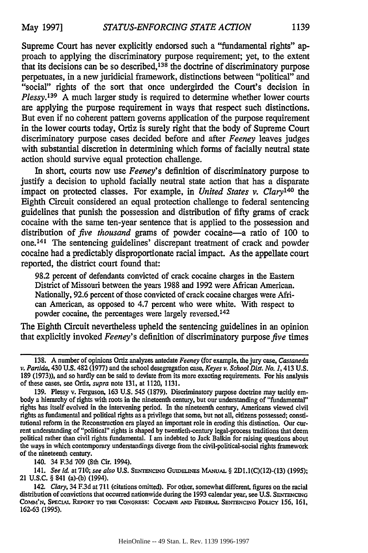Supreme Court has never explicitly endorsed such a "fundamental rights" approach to applying the discriminatory purpose requirement; yet, to the extent that its decisions can be so described,138 the doctrine of discriminatory purpose perpetuates, in a new juridicial framework, distinctions between "political" and "social" rights of the sort that once undergirded the Court's decision in *Plessy.139* A much larger study is required to determine whether lower courts are applying the purpose requirement in ways that respect such distinctions. But even if no coherent pattern governs application of the purpose requirement in the lower courts today, Ortiz is surely right that the body of Supreme Court discriminatory purpose cases decided before and after *Feeney* leaves judges with substantial discretion in determining which forms of facially neutral state action should survive equal protection challenge.

In short, courts now use *Feeney's* definition of discriminatory purpose to justify a decision to uphold facially neutral state action that has a disparate impact on protected classes. For example, in *United States v. Clary140* the Eighth Circuit considered an equal protection challenge to federal sentencing guidelines that punish the possession and distribution of fifty grams of crack cocaine with the same ten-year sentence that is applied to the possession and distribution of *five thousand* grams of powder cocaine-a ratio of 100 to one.141 The sentencing guidelines' discrepant treatment of crack and powder cocaine had a predictably disproportionate racial impact. As the appellate court reported, the district court found that:

98.2 percent of defendants convicted of crack cocaine charges in the Eastern District of Missouri between the years 1988 and 1992 were African American. Nationally, 92.6 percent of those convicted of crack cocaine charges were African American, as opposed to 4.7 percent who were white. With respect to powder cocaine, the percentages were largely reversed. <sup>142</sup>

The Eighth Circuit nevertheless upheld the sentencing guidelines in an opinion that explicitly invoked *Feeney's* definition of discriminatory purpose five times

140. 34 F.3d 709 (8th Cir. 1994).

141. *See id.* at 710; *see also* U.S. SENTENCING GUIDELINES MANUAL § 2D1.1(C)(12)-(13) (1995); 21 U.S.C. § 841 (a)-(b) (1994).

142. *Clary,* 34 F.3d at 711 (citations omitted). For other, somewhat different, figures on the racial distribution of convictions that occurred nationwide during the 1993 calendar year, see U.S. **SENTENCING COMM'N, SPECIAL REPORT TO THE CONGRESS: COCAINE AND FEDERAL SENTENCING POLICY 156, 161,** 162-63 (1995).

<sup>138.</sup> A number of opinions Ortiz analyzes antedate Feeney (for example, the jury case, Castaneda v. Partida, 430 U.S. 482 (1977) and the school desegregation case, Keyes v. School Dist. No. 1, 413 U.S. 189 (1973)), and so hardly can be said to deviate from its more exacting requirements. For his analysis of these cases, see Ortiz, *supra* note 131, at 1120, 1131.

<sup>139.</sup> Plessy v. Ferguson, 163 U.S. 545 (1879). Discriminatory purpose doctrine may tacitly em body a hierarchy of rights with roots in the nineteenth century, but our understanding of "fundamental" rights has itself evolved in the intervening period. In the nineteenth century, Americans viewed civil rights as fundamental and political rights as a privilege that some, but not all, citizens possessed; constitutional reform in the Reconstruction era played an important role in eroding this distinction. Our cur- rent understanding of "political" rights is shaped **by** twentieth-century legal-process traditions that deem political rather than civil rights fundamental. I am indebted to Jack Balkin for raising questions about the ways in which contemporary understandings diverge from the civil-political-social rights framework of the nineteenth century.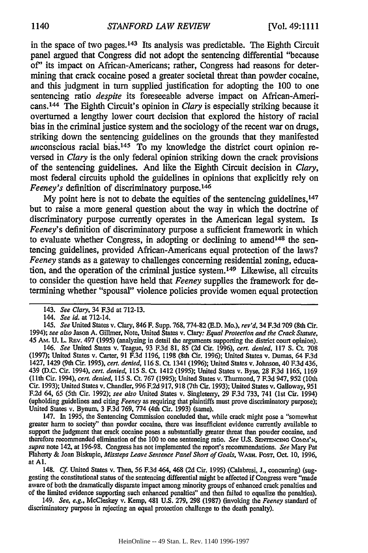in the space of two pages. 143 Its analysis was predictable. The Eighth Circuit panel argued that Congress did not adopt the sentencing differential "because of" its impact on African-Americans; rather, Congress had reasons for determining that crack cocaine posed a greater societal threat than powder cocaine, and this judgment in turn supplied justification for adopting the 100 to one sentencing ratio *despite* its foreseeable adverse impact on African-Americans. 144 The Eighth Circuit's opinion in *Clary* is especially striking because it overturned a lengthy lower court decision that explored the history of racial bias in the criminal justice system and the sociology of the recent war on drugs, striking down the sentencing guidelines on the grounds that they manifested unconscious racial bias.<sup>145</sup> To my knowledge the district court opinion reversed in *Clary* is the only federal opinion striking down the crack provisions of the sentencing guidelines. And like the Eighth Circuit decision in *Clary,* most federal circuits uphold the guidelines in opinions that explicitly rely on *Feeney's* definition of discriminatory purpose.<sup>146</sup>

My point here is not to debate the equities of the sentencing guidelines,  $147$ but to raise a more general question about the way in which the doctrine of discriminatory purpose currently operates in the American legal system. Is *Feeney's* definition of discriminatory purpose a sufficient framework in which to evaluate whether Congress, in adopting or declining to amend<sup>148</sup> the sentencing guidelines, provided African-Americans equal protection of the laws? *Feeney* stands as a gateway to challenges concerning residential zoning, education, and the operation of the criminal justice system. 149 Likewise, all circuits to consider the question have held that *Feeney* supplies the framework for determining whether "spousal" violence policies provide women equal protection

*146. See* United States v. Teague, 93 F.3d 81, 85 (2d Cir. 1996), *cert. denied,* 117 S. Ct. 708 (1997); United States v. Carter, 91 F.3d 1196, 1198 (8th Cir. 1996); United States v. Dumas, 64 F.3d 1427, 1429 (9th Cir. 1995), *cert. denied,* 116 S. Ct. 1341 (1996); United States v. Johnson, 40 F.3d 436, 439 (D.C. Cir. 1994), *cert. denied,* 115 S. Ct. 1412 (1995); United States v. Byse, 28 F.3d 1165, 1169 (11th Cir. 1994), *cert. denied,* 115 S. Ct. 767 (1995); United States v. Thurmond, 7 F.3d 947, 952 (10th Cir. 1993); United States v. Chandler, 996 F.2d 917, 918 (7th Cir. 1993); United States v. Galloway, 951 F.2d 64, 65 (5th Cir. 1992); *see also* United States v. Singleterry, 29 F.3d 733, 741 (1st Cir. 1994) (upholding guidelines and citing *Feeney* as requiring that plaintiffs must prove discriminatory purpose); United States v. Bynum, 3 F.3d 769, 774 (4th Cir. 1993) (same).

147. In **1995,** the Sentencing Commission concluded that, while crack might pose a "somewhat greater harm to society" than powder cocaine, there was insufficient evidence currently available to support the judgment that crack cocaine poses a substantially greater threat than powder cocaine, and therefore recommended elimination of the 100 to one sentencing ratio. *See* **U.S.** SENTENCING CoMt'N, *supra* note 142. at 196-98. Congress has not implemented the report's recommendations. *See* Mary Pat Flaherty & Joan Biskupic, *Missteps Leave Sentence Panel Short of Goals,* WASH. POsT, Oct. 10, 1996, at **Al.**

148. *Cf.* United States v. Then, 56 F.3d 464, 468 (2d Cir. 1995) (Calabresi, J., concurring) (suggesting the constitutional status of the sentencing differential might be affected if Congress were "made aware of both the dramatically disparate impact among minority groups of enhanced crack penalties and of the limited evidence supporting such enhanced penalties" and then failed to equalize the penalties).

149. *See, e.g.,* McCleskey v. Kemp, 481 U.S. 279, 298 (1987) (invoking the *Feeney* standard of discriminatory purpose in rejecting an equal protection challenge to the death penalty).

<sup>143.</sup> *See Clary,* 34 F.3d at 712-13.

*<sup>144.</sup> See id.* at 712-14.

<sup>145.</sup> *See* United States v. Clary, 846 F. Supp. 768,774-82 (E.D. Mo.), *rev'd,* 34 F.3d 709 (8th Cir. 1994); *see also* Jason A. Gillmer, Note, United States v. Clary: *Equal Protection and the Crack Statute,* 45 AM. U. L. REv. 497 (1995) (analyzing in detail the arguments supporting the district court opinion).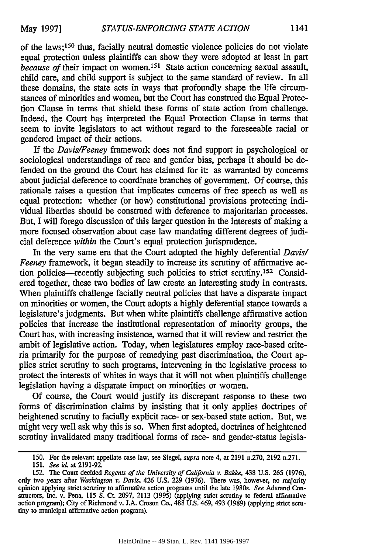of the laws; 150 thus, facially neutral domestic violence policies do not violate equal protection unless plaintiffs can show they were adopted at least in part *because of their impact* on women.<sup>151</sup> State action concerning sexual assault, child care, and child support is subject to the same standard of review. In all these domains, the state acts in ways that profoundly shape the life circumstances of minorities and women, but the Court has construed the Equal Protection Clause in terms that shield these forms of state action from challenge. Indeed, the Court has interpreted the Equal Protection Clause in terms that seem to invite legislators to act without regard to the foreseeable racial or gendered impact of their actions.

If the *Davis/Feeney* framework does not find support in psychological or sociological understandings of race and gender bias, perhaps it should be defended on the ground the Court has claimed for it: as warranted by concerns about judicial deference to coordinate branches of government. Of course, this rationale raises a question that implicates concerns of free speech as well as equal protection: whether (or how) constitutional provisions protecting individual liberties should be construed with deference to majoritarian processes. But, I will forego discussion of this larger question in the interests of making a more focused observation about case law mandating different degrees of judicial deference *within* the Court's equal protection jurisprudence.

In the very same era that the Court adopted the highly deferential *Davis! Feeney* framework, it began steadily to increase its scrutiny of affirmative action policies-recently subjecting such policies to strict scrutiny.152 Considered together, these two bodies of law create an interesting study in contrasts. When plaintiffs challenge facially neutral policies that have a disparate impact on minorities or women, the Court adopts a highly deferential stance towards a legislature's judgments. But when white plaintiffs challenge affirmative action policies that increase the institutional representation of minority groups, the Court has, with increasing insistence, warned that it will review and restrict the ambit of legislative action. Today, when legislatures employ race-based criteria primarily for the purpose of remedying past discrimination, the Court applies strict scrutiny to such programs, intervening in the legislative process to protect the interests of whites in ways that it will not when plaintiffs challenge legislation having a disparate impact on minorities or women.

Of course, the Court would justify its discrepant response to these two forms of discrimination claims by insisting that it only applies doctrines of heightened scrutiny to facially explicit race- or sex-based state action. But, we might very well ask why this is so. When first adopted, doctrines of heightened scrutiny invalidated many traditional forms of race- and gender-status legisla-

<sup>150.</sup> For the relevant appellate case law, see Siegel, *supra* note 4, at 2191 n.270, 2192 n.271.

<sup>151.</sup> *See id.* at 2191-92.

<sup>152.</sup> The Court decided *Regents of the University of California v. Bakke,* 438 U.S. 265 (1976), only two years after *Washington v. Davis,* 426 **U.S.** 229 (1976). There was, however, no majority opinion applying strict scrutiny to affirmative action programs until the late 1980s. *See* Adarand Constructors, Inc. v. Pena, 115 S. Ct. 2097, 2113 (1995) (applying strict scrutiny to federal affirmative action program); City of Richmond v. J.A. Croson Co., 488 U.S. 469, 493 (1989) (applying strict scrutiny to municipal affirmative action program).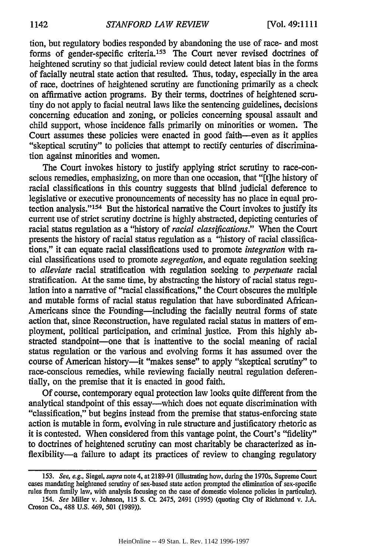tion, but regulatory bodies responded by abandoning the use of race- and most forms of gender-specific criteria. 153 The Court never revised doctrines of heightened scrutiny so that judicial review could detect latent bias in the forms of facially neutral state action that resulted. Thus, today, especially in the area of race, doctrines of heightened scrutiny are functioning primarily as a check on affirmative action programs. By their terms, doctrines of heightened scrutiny do not apply to facial neutral laws like the sentencing guidelines, decisions concerning education and zoning, or policies concerning spousal assault and child support, whose incidence falls primarily on minorities or women. The Court assumes these policies were enacted in good faith—even as it applies "skeptical scrutiny" to policies that attempt to rectify centuries of discrimination against minorities and women.

The Court invokes history to justify applying strict scrutiny to race-conscious remedies, emphasizing, on more than one occasion, that "[t]he history of racial classifications in this country suggests that blind judicial deference to legislative or executive pronouncements of necessity has no place in equal protection analysis." $154$  But the historical narrative the Court invokes to justify its current use of strict scrutiny doctrine is highly abstracted, depicting centuries of racial status regulation as a "history of *racial classifications."* When the Court presents the history of racial status regulation as a "history of racial classifications," it can equate racial classifications used to promote *integration* with racial classifications used to promote *segregation,* and equate regulation seeking to *alleviate* racial stratification with regulation seeking to *perpetuate* racial stratification. At the same time, **by** abstracting the history of racial status regulation into a narrative of "racial classifications," the Court obscures the multiple and mutable forms of racial status regulation that have subordinated African-Americans since the Founding—including the facially neutral forms of state action that, since Reconstruction, have regulated racial status in matters of employment, political participation, and criminal justice. From this highly abstracted standpoint—one that is inattentive to the social meaning of racial status regulation or the various and evolving forms it has assumed over the course of American history-it "makes sense" to apply "skeptical scrutiny" to race-conscious remedies, while reviewing facially neutral regulation deferentially, on the premise that it is enacted in good faith.

Of course, contemporary equal protection law looks quite different from the analytical standpoint of this essay-which does not equate discrimination with "classification," but begins instead from the premise that status-enforcing state action is mutable in form, evolving in rule structure and justificatory rhetoric as it is contested. When considered from this vantage point, the Court's "fidelity" to doctrines of heightened scrutiny can most charitably be characterized as inflexibility-a failure to adapt its practices of review to changing regulatory

<sup>153.</sup> *See, e.g.,* Siegel, *supra* note 4, at 2189-91 (illustrating how, during the 1970s, Supreme Court cases mandating heightened scrutiny of sex-based state action prompted the elimination of sex-specific rules from family law, with analysis focusing on the case of domestic violence policies in particular).

<sup>154.</sup> *See* Miller v. Johnson, 115 **S.** Ct. 2475, 2491 (1995) (quoting City of Richmond v. **J.A.** Croson Co., 488 U.S. 469, 501 (1989)).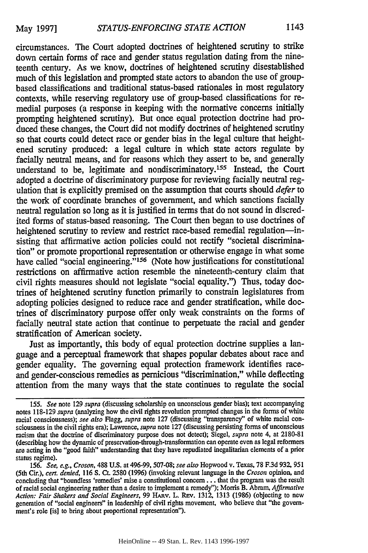circumstances. The Court adopted doctrines of heightened scrutiny to strike down certain forms of race and gender status regulation dating from the nineteenth century. As we know, doctrines of heightened scrutiny disestablished much of this legislation and prompted state actors to abandon the use of groupbased classifications and traditional status-based rationales in most regulatory contexts, while reserving regulatory use of group-based classifications for remedial purposes (a response in keeping with the normative concerns initially prompting heightened scrutiny). But once equal protection doctrine had produced these changes, the Court did not modify doctrines of heightened scrutiny so that courts could detect race or gender bias in the legal culture that heightened scrutiny produced: a legal culture in which state actors regulate by facially neutral means, and for reasons which they assert to be, and generally understand to be, legitimate and nondiscriminatory.<sup>155</sup> Instead, the Court adopted a doctrine of discriminatory purpose for reviewing facially neutral regulation that is explicitly premised on the assumption that courts should *defer* to the work of coordinate branches of government, and which sanctions facially neutral regulation so long as it is justified in terms that do not sound in discredited forms of status-based reasoning. The Court then began to use doctrines of heightened scrutiny to review and restrict race-based remedial regulation-insisting that affirmative action policies could not rectify "societal discrimination" or promote proportional representation or otherwise engage in what some have called "social engineering."<sup>156</sup> (Note how justifications for constitutional restrictions on affirmative action resemble the nineteenth-century claim that civil rights measures should not legislate "social equality.") Thus, today doctrines of heightened scrutiny function primarily to constrain legislatures from adopting policies designed to reduce race and gender stratification, while doctrines of discriminatory purpose offer only weak constraints on the forms of facially neutral state action that continue to perpetuate the racial and gender stratification of American society.

Just as importantly, this body of equal protection doctrine supplies a language and a perceptual framework that shapes popular debates about race and gender equality. The governing equal protection framework identifies raceand gender-conscious remedies as pernicious "discrimination," while deflecting attention from the many ways that the state continues to regulate the social

<sup>155.</sup> *See* note 129 *supra* (discussing scholarship on unconscious gender bias); text accompanying notes 118-129 *supra* (analyzing how the civil rights revolution prompted changes in the forms of white racial consciousness); *see also* Flagg, *supra* note 127 (discussing "transparency" of white racial consciousness in the civil rights era); Lawrence, *supra* note 127 (discussing persisting forms of unconscious racism that the doctrine of discriminatory purpose does not detect); Siegel, *supra* note 4, at 2180-81 (describing how the dynamic of preservation-through-transformation can operate even as legal reformers are acting in the "good faith" understanding that they have repudiated inegalitarian elements of a prior status regime).

*<sup>156.</sup> See, e.g., Croson,* 488 U.S. at 496-99, **507-08;** *see also* Hopwood v. Texas, 78 F.3d 932, 951 (5th Cir.), *cert. denied,* 116 **S.** Ct. 2580 (1996) (invoking relevant language in the *Croson* opinion, and concluding that "boundless 'remedies' raise a constitutional concern... that the program was the result of racial social engineering rather than a desire to implement a remedy"); Morris B. Abram, *Affirmative Action: Fair Shakers and Social Engineers,* 99 HARv. L. REv. 1312, 1313 (1986) (objecting to new generation of "social engineers" in leadership of civil rights movement, who believe that "the government's role [is] to bring about proportional representation").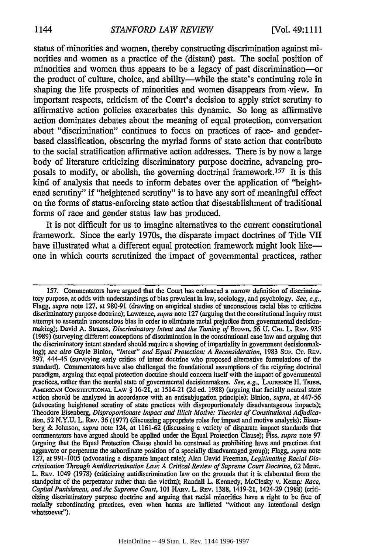status of minorities and women, thereby constructing discrimination against minorities and women as a practice of the (distant) past. The social position of minorities and women thus appears to be a legacy of past discrimination-or the product of culture, choice, and ability-while the state's continuing role in shaping the life prospects of minorities and women disappears from -view. In important respects, criticism of the Court's decision to apply strict scrutiny to affirmative action policies exacerbates this dynamic. So long as affirmative action dominates debates about the meaning of equal protection, conversation about "discrimination" continues to focus on practices of race- and genderbased classification, obscuring the myriad forms of state action that contribute to the social stratification affirmative action addresses. There is **by** now a large body of literature criticizing discriminatory purpose doctrine, advancing proposals to modify, or abolish, the governing doctrinal framework. 157 It is this kind of analysis that needs to inform debates over the application of "heightened scrutiny" if "heightened scrutiny" is to have any sort of meaningful effect on the forms of status-enforcing state action that disestablishment of traditional forms of race and gender status law has produced.

It is not difficult for us to imagine alternatives to the current constitutional framework. Since the early 1970s, the disparate impact doctrines of Title **VII** have illustrated what a different equal protection framework might look likeone in which courts scrutinized the impact of governmental practices, rather

**157.** Commentators have argued that the Court has embraced a narrow definition of discriminatory purpose, at odds with understandings of bias prevalent in law, sociology, and psychology. *See, e.g.,* Flagg, *supra* note 127, at 980-91 (drawing on empirical studies of unconscious racial bias to criticize discriminatory purpose doctrine); Lawrence, *supra* note 127 (arguing that the constitutional inquiry must attempt to ascertain unconscious bias in order to eliminate racial prejudice from governmental decisionmaking); David A. Strauss, *Discriminatory Intent and the Taming of* Brown, 56 U. Cm. L. REv. 935 (1989) (surveying different conceptions of discrimination in the constitutional case law and arguing that the discriminatory intent standard should require a showing of impartiality in government decisionmaking); *see also* Gayle Binion, *"Intent" and Equal Protection: A Reconsideration,* 1983 Sup. **CT.** REv. 397, 444-45 (surveying early critics of intent doctrine who proposed alternative formulations of the standard). Commentators have also challenged the foundational assumptions of the reigning doctrinal paradigm, arguing that equal protection doctrine should concern itself with the impact of governmental practices, rather than the mental state of governmental decisionmakers. See, e.g., LAURENCE H. TRIBE, AMERICAN CONSTITUTIONAL LAW § 16-21, at 1514-21 (2d ed. 1988) (arguing that facially neutral state action should be analyzed in accordance with an antisubjugation principle); Binion, *supra,* at 447-56 (advocating heightened scrutiny of state practices with disproportionately disadvantageous impacts); Theodore Eisenberg, *Disproportionate Impact and Illicit Motive: Theories of Constitutional Adjudication,* 52 N.Y.U. L. REv. 36 (1977) (discussing appropriate roles for impact and motive analysis); Eisenberg & Johnson, *supra* note 124, at 1161-62 (discussing a variety of disparate impact standards that commentators have argued should be applied under the Equal Protection Clause); Fiss, *supra* note 97 (arguing that the Equal Protection Clause should be construed as prohibiting laws and practices that aggravate or perpetuate the subordinate position of a specially disadvantaged group); Flagg, *supra* note 127, at 991-1005 (advocating a disparate impact rule); Alan David Freeman, *Legitimating Racial Discrimination Through Antidiscrimination Law: A Critical Review of Supreme Court Doctrine,* 62 **MtNN.** L. REv. 1049 (1978) (criticizing antidiscrimination law on the grounds that it is elaborated from the standpoint of the perpetrator rather than the victim); Randall L. Kennedy, McClesky v. Kemp: *Race,* Capital Punishment, and the Supreme Court, 101 HARV. L. REV. 1388, 1419-21, 1424-29 (1988) (criticizing discriminatory purpose doctrine and arguing that racial minorities have a right to be free of racially subordinating practices, even when harms are inflicted "without any intentional design whatsoever").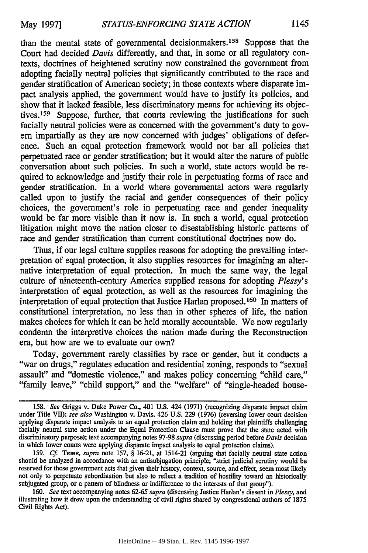than the mental state of governmental decisionmakers. 158 Suppose that the Court had decided *Davis* differently, and that, in some or all regulatory contexts, doctrines of heightened scrutiny now constrained the government from adopting facially neutral policies that significantly contributed to the race and gender stratification of American society; in those contexts where disparate impact analysis applied, the government would have to justify its policies, and show that it lacked feasible, less discriminatory means for achieving its objectives. 159 Suppose, further, that courts reviewing the justifications for such facially neutral policies were as concerned with the government's duty to govern impartially as they are now concerned with judges' obligations of deference. Such an equal protection framework would not bar all policies that perpetuated race or gender stratification; but it would alter the nature of public conversation about such policies. In such a world, state actors would be required to acknowledge and justify their role in perpetuating forms of race and gender stratification. In a world where governmental actors were regularly called upon to justify the racial and gender consequences of their policy choices, the government's role in perpetuating race and gender inequality would be far more visible than it now is. In such a world, equal protection litigation might move the nation closer to disestablishing historic patterns of race and gender stratification than current constitutional doctrines now do.

Thus, if our legal culture supplies reasons for adopting the prevailing interpretation of equal protection, it also supplies resources for imagining an alternative interpretation of equal protection. In much the same way, the legal culture of nineteenth-century America supplied reasons for adopting *Plessy's* interpretation of equal protection, as well as the resources for imagining the interpretation of equal protection that Justice Harlan proposed.160 In matters of constitutional interpretation, no less than in other spheres of life, the nation makes choices for which it can be held morally accountable. We now regularly condemn the interpretive choices the nation made during the Reconstruction era, but how are we to evaluate our own?

Today, government rarely classifies by race or gender, but it conducts a "war on drugs," regulates education and residential zoning, responds to "sexual assault" and "domestic violence," and makes policy concerning "child care," "family leave," "child support," and the "welfare" of "single-headed house-

<sup>158.</sup> *See* Griggs v. Duke Power Co., 401 **U.S.** 424 (1971) (recognizing disparate impact claim under Title VII); *see also* Washington v. Davis, 426 U.S. 229 (1976) (reversing lower court decision applying disparate impact analysis to an equal protection claim and holding that plaintiffs challenging facially neutral state action under the Equal Protection Clause must prove that the state acted with discriminatory purpose); text accompanying notes 97-98 *supra* (discussing period before *Davis* decision in which lower courts were applying disparate impact analysis to equal protection claims).

<sup>159.</sup> *Cf.* TRIBE, supra note 157, § 16-21, at 1514-21 (arguing that facially neutral state action should be analyzed in accordance with an antisubjugation principle; "strict judicial scrutiny would be reserved for those government acts that given their history, context, source, and effect, seem most likely not only to perpetuate subordination but also to reflect a tradition of hostility toward an historically subjugated group, or a pattern of blindness or indifference to the interests of that group").

<sup>160.</sup> *See* text accompanying notes 62-65 *supra* (discussing Justice Harlan's dissent in *Plessy, and* illustrating how it drew upon the understanding of civil rights shared by congressional authors of 1875 Civil Rights Act).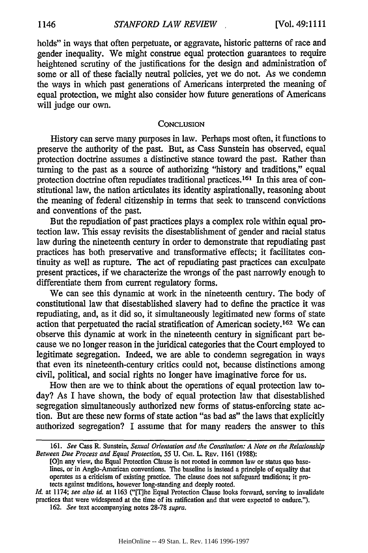holds" in ways that often perpetuate, or aggravate, historic patterns of race and gender inequality. We might construe equal protection guarantees to require heightened scrutiny of the justifications for the design and administration of some or all of these facially neutral policies, yet we do not. As we condemn the ways in which past generations of Americans interpreted the meaning of equal protection, we might also consider how future generations of Americans will judge our own.

#### **CONCLUSION**

History can serve many purposes in law. Perhaps most often, it functions to preserve the authority of the past. But, as Cass Sunstein has observed, equal protection doctrine assumes a distinctive stance toward the past. Rather than turning to the past as a source of authorizing "history and traditions," equal protection doctrine often repudiates traditional practices.<sup>161</sup> In this area of constitutional law, the nation articulates its identity aspirationally, reasoning about the meaning of federal citizenship in terms that seek to transcend convictions and conventions of the past.

But the repudiation of past practices plays a complex role within equal protection law. This essay revisits the disestablishment of gender and racial status law during the nineteenth century in order to demonstrate that repudiating past practices has both preservative and transformative effects; it facilitates continuity as well as rupture. The act of repudiating past practices can exculpate present practices, if we characterize the wrongs of the past narrowly enough to differentiate them from current regulatory forms.

We can see this dynamic at work in the nineteenth century. The body of constitutional law that disestablished slavery had to define the practice it was repudiating, and, as it did so, it simultaneously legitimated new forms of state action that perpetuated the racial stratification of American society.<sup>162</sup> We can observe this dynamic at work in the nineteenth century in significant part because we no longer reason in the juridical categories that the Court employed to legitimate segregation. Indeed, we are able to condemn segregation in ways that even its nineteenth-century critics could not, because distinctions among civil, political, and social rights no longer have imaginative force for us.

How then are we to think about the operations of equal protection law today? As I have shown, the body of equal protection law that disestablished segregation simultaneously authorized new forms of status-enforcing state action. But are these new forms of state action "as bad as" the laws that explicitly authorized segregation? I assume that for many readers the answer to this

<sup>161.</sup> *See* Cass R. Sunstein, *Sexual Orientation and the Constitution: A Note on the Relationship Between Due Process and Equal Protection, 55 U. Cm. L. REV. 1161 (1988):* 

<sup>[</sup>O]n any view, the Equal Protection Clause is not rooted in common law or status quo baselines, or in Anglo-American conventions. **The** baseline is instead a principle of equality that operates as a criticism of existing practice. The clause does not safeguard traditions; it protects against traditions, however long-standing and deeply rooted.

*Id.* at 1174; see also id. at 1163 ("[T]he Equal Protection Clause looks forward, serving to invalidate practices that were widespread at the time of its ratification and that were expected to endure.").

<sup>162.</sup> *See* text accompanying notes 28-78 *supra.*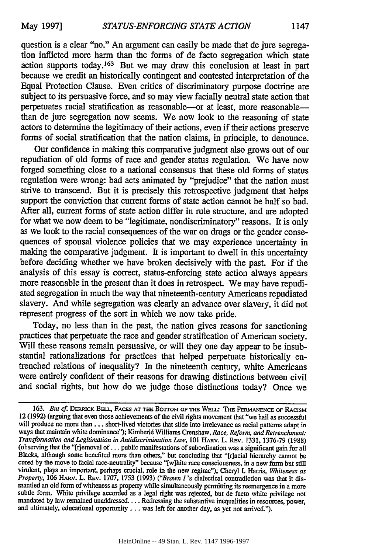question is a clear "no." An argument can easily be made that de jure segregation inflicted more harm than the forms of de facto segregation which state action supports today.163 But we may draw this conclusion at least in part because we credit an historically contingent and contested interpretation of the Equal Protection Clause. Even critics of discriminatory purpose doctrine are subject to its persuasive force, and so may view facially neutral state action that perpetuates racial stratification as reasonable-or at least, more reasonablethan de jure segregation now seems. We now look to the reasoning of state actors to determine the legitimacy of their actions, even if their actions preserve forms of social stratification that the nation claims, in principle, to denounce.

Our confidence in making this comparative judgment also grows out of our repudiation of old forms of race and gender status regulation. We have now forged something close to a national consensus that these old forms of status regulation were wrong: bad acts animated by "prejudice" that the nation must strive to transcend. But it is precisely this retrospective judgment that helps support the conviction that current forms of state action cannot be half so bad. After all, current forms of state action differ in rule structure, and are adopted for what we now deem to be "legitimate, nondiscriminatory" reasons. It is only as we look to the racial consequences of the war on drugs or the gender consequences of spousal violence policies that we may experience uncertainty in making the comparative judgment. It is important to dwell in this uncertainty before deciding whether we have broken decisively with the past. For if the analysis of this essay is correct, status-enforcing state action always appears more reasonable in the present than it does in retrospect. We may have repudiated segregation in much the way that nineteenth-century Americans repudiated slavery. And while segregation was clearly an advance over slavery, it did not represent progress of the sort in which we now take pride.

Today, no less than in the past, the nation gives reasons for sanctioning practices that perpetuate the race and gender stratification of American society. Will these reasons remain persuasive, or will they one day appear to be insubstantial rationalizations for practices that helped perpetuate historically entrenched relations of inequality? In the nineteenth century, white Americans were entirely confident of their reasons for drawing distinctions between civil and social rights, but how do we judge those distinctions today? Once we

<sup>163.</sup> *But cf.* **DERRICK** BELL, FACES **AT THE** Bo'rroM OF **THE** WELL: THE PERMANENCE OF RACISM 12 (1992) (arguing that even those achievements of the civil rights movement that "we hail as successful will produce no more than . . . short-lived victories that slide into irrelevance as racial patterns adapt in ways that maintain white dominance"); Kimberl6 Williams Crenshaw, *Race, Reform, and Retrenchment: Transformation and Legitimation in Antidiscrimination Law,* 101 HARv. L. REv. 1331, 1376-79 (1988) (observing that the "[riemoval of... public manifestations of subordination was a significant gain for all Blacks, although some benefited more than others," but concluding that "[riacial hierarchy cannot be cured by the move to facial race-neutrality" because "[w]hite race consciousness, in a new form but still virulent, plays an important, perhaps crucial, role in the new regime"); Cheryl L Harris, *Whiteness as Property,* 106 HArv. L. REv. 1707, 1753 (1993) *("Brown* I's dialectical contradiction was that it dismantled an old form of whiteness as property while simultaneously permitting its reemergence in a more subtle form. White privilege accorded as a legal right was rejected, but de facto white privilege not mandated by law remained unaddressed .... Redressing the substantive inequalities in resources, power, and ultimately, educational opportunity... was left for another day, as yet not arrived.").